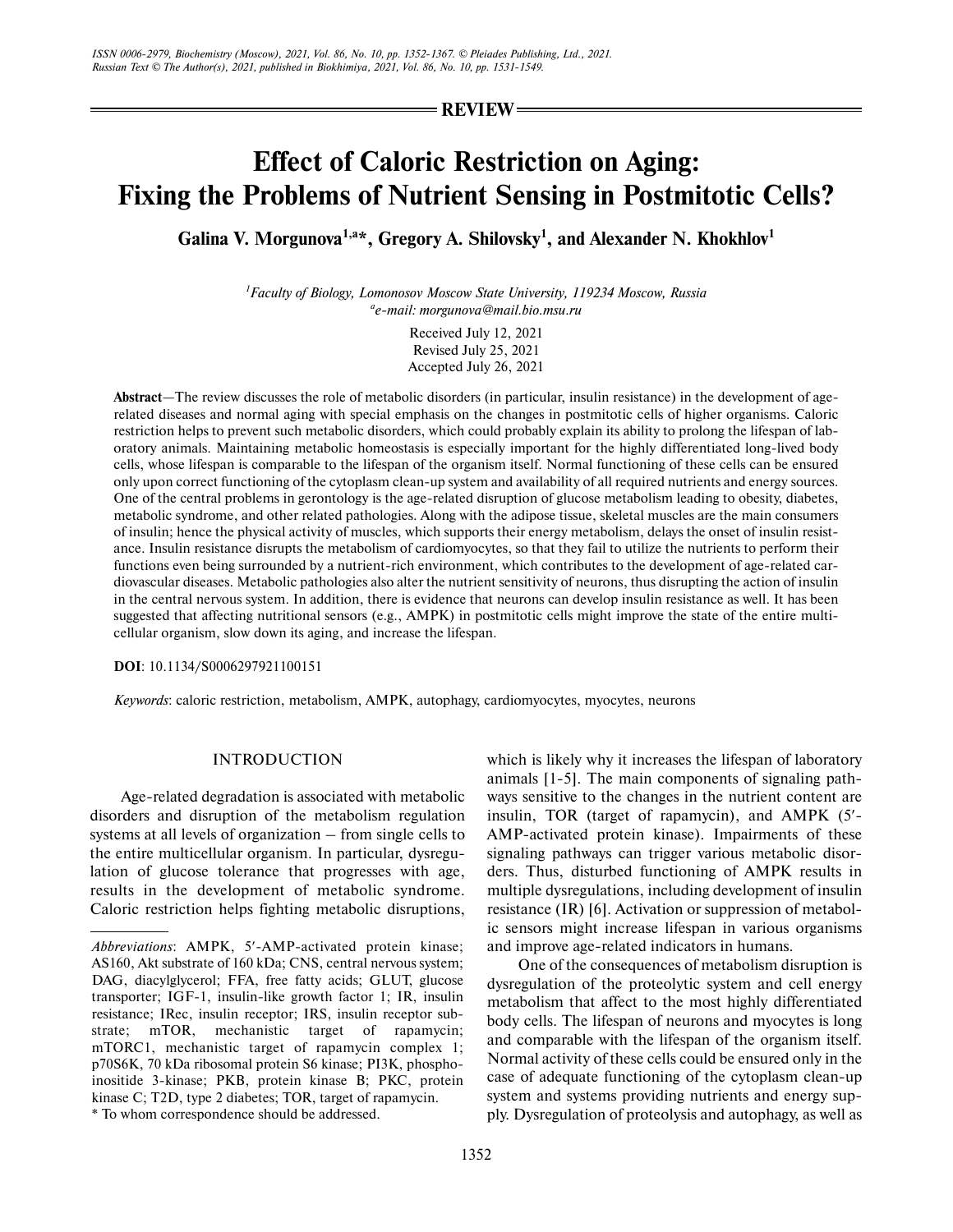**REVIEW**

# **Effect of Caloric Restriction on Aging: Fixing the Problems of Nutrient Sensing in Postmitotic Cells?**

Galina V. Morgunova<sup>1,a\*</sup>, Gregory A. Shilovsky<sup>1</sup>, and Alexander N. Khokhlov<sup>1</sup>

*1 Faculty of Biology, Lomonosov Moscow State University, 119234 Moscow, Russia a e-mail: morgunova@mail.bio.msu.ru*

> Received July 12, 2021 Revised July 25, 2021 Accepted July 26, 2021

**Abstract**—The review discusses the role of metabolic disorders (in particular, insulin resistance) in the development of age related diseases and normal aging with special emphasis on the changes in postmitotic cells of higher organisms. Caloric restriction helps to prevent such metabolic disorders, which could probably explain its ability to prolong the lifespan of lab oratory animals. Maintaining metabolic homeostasis is especially important for the highly differentiated long-lived body cells, whose lifespan is comparable to the lifespan of the organism itself. Normal functioning of these cells can be ensured only upon correct functioning of the cytoplasm clean-up system and availability of all required nutrients and energy sources. One of the central problems in gerontology is the age-related disruption of glucose metabolism leading to obesity, diabetes, metabolic syndrome, and other related pathologies. Along with the adipose tissue, skeletal muscles are the main consumers of insulin; hence the physical activity of muscles, which supports their energy metabolism, delays the onset of insulin resist ance. Insulin resistance disrupts the metabolism of cardiomyocytes, so that they fail to utilize the nutrients to perform their functions even being surrounded by a nutrient-rich environment, which contributes to the development of age-related cardiovascular diseases. Metabolic pathologies also alter the nutrient sensitivity of neurons, thus disrupting the action of insulin in the central nervous system. In addition, there is evidence that neurons can develop insulin resistance as well. It has been suggested that affecting nutritional sensors (e.g., AMPK) in postmitotic cells might improve the state of the entire multicellular organism, slow down its aging, and increase the lifespan.

**DOI**: 10.1134/S0006297921100151

*Keywords*: caloric restriction, metabolism, AMPK, autophagy, cardiomyocytes, myocytes, neurons

## INTRODUCTION

Age-related degradation is associated with metabolic disorders and disruption of the metabolism regulation systems at all levels of organization – from single cells to the entire multicellular organism. In particular, dysregu lation of glucose tolerance that progresses with age, results in the development of metabolic syndrome. Caloric restriction helps fighting metabolic disruptions, which is likely why it increases the lifespan of laboratory animals [1-5]. The main components of signaling path ways sensitive to the changes in the nutrient content are insulin, TOR (target of rapamycin), and AMPK (5′- AMP-activated protein kinase). Impairments of these signaling pathways can trigger various metabolic disor ders. Thus, disturbed functioning of AMPK results in multiple dysregulations, including development of insulin resistance (IR) [6]. Activation or suppression of metabol ic sensors might increase lifespan in various organisms and improve age-related indicators in humans.

One of the consequences of metabolism disruption is dysregulation of the proteolytic system and cell energy metabolism that affect to the most highly differentiated body cells. The lifespan of neurons and myocytes is long and comparable with the lifespan of the organism itself. Normal activity of these cells could be ensured only in the case of adequate functioning of the cytoplasm clean-up system and systems providing nutrients and energy sup ply. Dysregulation of proteolysis and autophagy, as well as

*Abbreviations*: AMPK, 5′-AMP-activated protein kinase; AS160, Akt substrate of 160 kDa; CNS, central nervous system; DAG, diacylglycerol; FFA, free fatty acids; GLUT, glucose transporter; IGF-1, insulin-like growth factor 1; IR, insulin resistance; IRec, insulin receptor; IRS, insulin receptor sub strate; mTOR, mechanistic target of rapamycin; mTORC1, mechanistic target of rapamycin complex 1; p70S6K, 70 kDa ribosomal protein S6 kinase; PI3K, phospho inositide 3-kinase; PKB, protein kinase B; PKC, protein kinase C; T2D, type 2 diabetes; TOR, target of rapamycin. \* To whom correspondence should be addressed.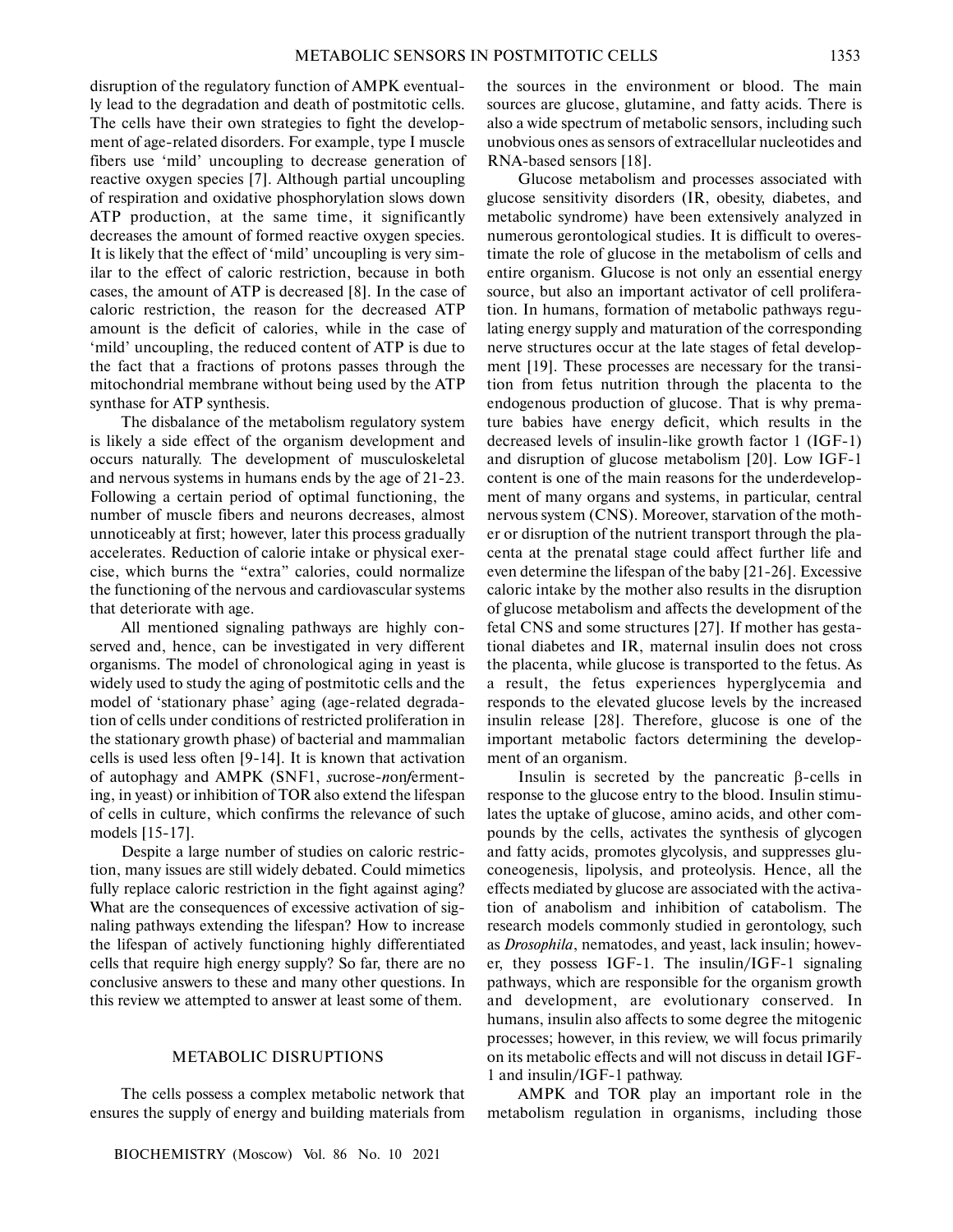disruption of the regulatory function of AMPK eventual ly lead to the degradation and death of postmitotic cells. The cells have their own strategies to fight the develop ment of age-related disorders. For example, type I muscle fibers use 'mild' uncoupling to decrease generation of reactive oxygen species [7]. Although partial uncoupling of respiration and oxidative phosphorylation slows down ATP production, at the same time, it significantly decreases the amount of formed reactive oxygen species. It is likely that the effect of 'mild' uncoupling is very sim ilar to the effect of caloric restriction, because in both cases, the amount of ATP is decreased [8]. In the case of caloric restriction, the reason for the decreased ATP amount is the deficit of calories, while in the case of 'mild' uncoupling, the reduced content of ATP is due to the fact that a fractions of protons passes through the mitochondrial membrane without being used by the ATP synthase for ATP synthesis.

The disbalance of the metabolism regulatory system is likely a side effect of the organism development and occurs naturally. The development of musculoskeletal and nervous systems in humans ends by the age of 21-23. Following a certain period of optimal functioning, the number of muscle fibers and neurons decreases, almost unnoticeably at first; however, later this process gradually accelerates. Reduction of calorie intake or physical exer cise, which burns the "extra" calories, could normalize the functioning of the nervous and cardiovascular systems that deteriorate with age.

All mentioned signaling pathways are highly con served and, hence, can be investigated in very different organisms. The model of chronological aging in yeast is widely used to study the aging of postmitotic cells and the model of 'stationary phase' aging (age-related degrada tion of cells under conditions of restricted proliferation in the stationary growth phase) of bacterial and mammalian cells is used less often [9-14]. It is known that activation of autophagy and AMPK (SNF1, *s*ucrose-*n*on*f*erment ing, in yeast) or inhibition of TOR also extend the lifespan of cells in culture, which confirms the relevance of such models [15-17].

Despite a large number of studies on caloric restric tion, many issues are still widely debated. Could mimetics fully replace caloric restriction in the fight against aging? What are the consequences of excessive activation of sig naling pathways extending the lifespan? How to increase the lifespan of actively functioning highly differentiated cells that require high energy supply? So far, there are no conclusive answers to these and many other questions. In this review we attempted to answer at least some of them.

# METABOLIC DISRUPTIONS

The cells possess a complex metabolic network that ensures the supply of energy and building materials from

BIOCHEMISTRY (Moscow) Vol. 86 No. 10 2021

the sources in the environment or blood. The main sources are glucose, glutamine, and fatty acids. There is also a wide spectrum of metabolic sensors, including such unobvious ones as sensors of extracellular nucleotides and RNA-based sensors [18].

Glucose metabolism and processes associated with glucose sensitivity disorders (IR, obesity, diabetes, and metabolic syndrome) have been extensively analyzed in numerous gerontological studies. It is difficult to overes timate the role of glucose in the metabolism of cells and entire organism. Glucose is not only an essential energy source, but also an important activator of cell prolifera tion. In humans, formation of metabolic pathways regu lating energy supply and maturation of the corresponding nerve structures occur at the late stages of fetal develop ment [19]. These processes are necessary for the transi tion from fetus nutrition through the placenta to the endogenous production of glucose. That is why prema ture babies have energy deficit, which results in the decreased levels of insulin-like growth factor 1 (IGF-1) and disruption of glucose metabolism [20]. Low IGF-1 content is one of the main reasons for the underdevelop ment of many organs and systems, in particular, central nervous system (CNS). Moreover, starvation of the moth er or disruption of the nutrient transport through the pla centa at the prenatal stage could affect further life and even determine the lifespan of the baby [21-26]. Excessive caloric intake by the mother also results in the disruption of glucose metabolism and affects the development of the fetal CNS and some structures [27]. If mother has gesta tional diabetes and IR, maternal insulin does not cross the placenta, while glucose is transported to the fetus. As a result, the fetus experiences hyperglycemia and responds to the elevated glucose levels by the increased insulin release [28]. Therefore, glucose is one of the important metabolic factors determining the develop ment of an organism.

Insulin is secreted by the pancreatic  $β$ -cells in response to the glucose entry to the blood. Insulin stimu lates the uptake of glucose, amino acids, and other com pounds by the cells, activates the synthesis of glycogen and fatty acids, promotes glycolysis, and suppresses glu coneogenesis, lipolysis, and proteolysis. Hence, all the effects mediated by glucose are associated with the activa tion of anabolism and inhibition of catabolism. The research models commonly studied in gerontology, such as *Drosophila*, nematodes, and yeast, lack insulin; howev er, they possess IGF-1. The insulin/IGF-1 signaling pathways, which are responsible for the organism growth and development, are evolutionary conserved. In humans, insulin also affects to some degree the mitogenic processes; however, in this review, we will focus primarily on its metabolic effects and will not discuss in detail IGF- 1 and insulin/IGF-1 pathway.

AMPK and TOR play an important role in the metabolism regulation in organisms, including those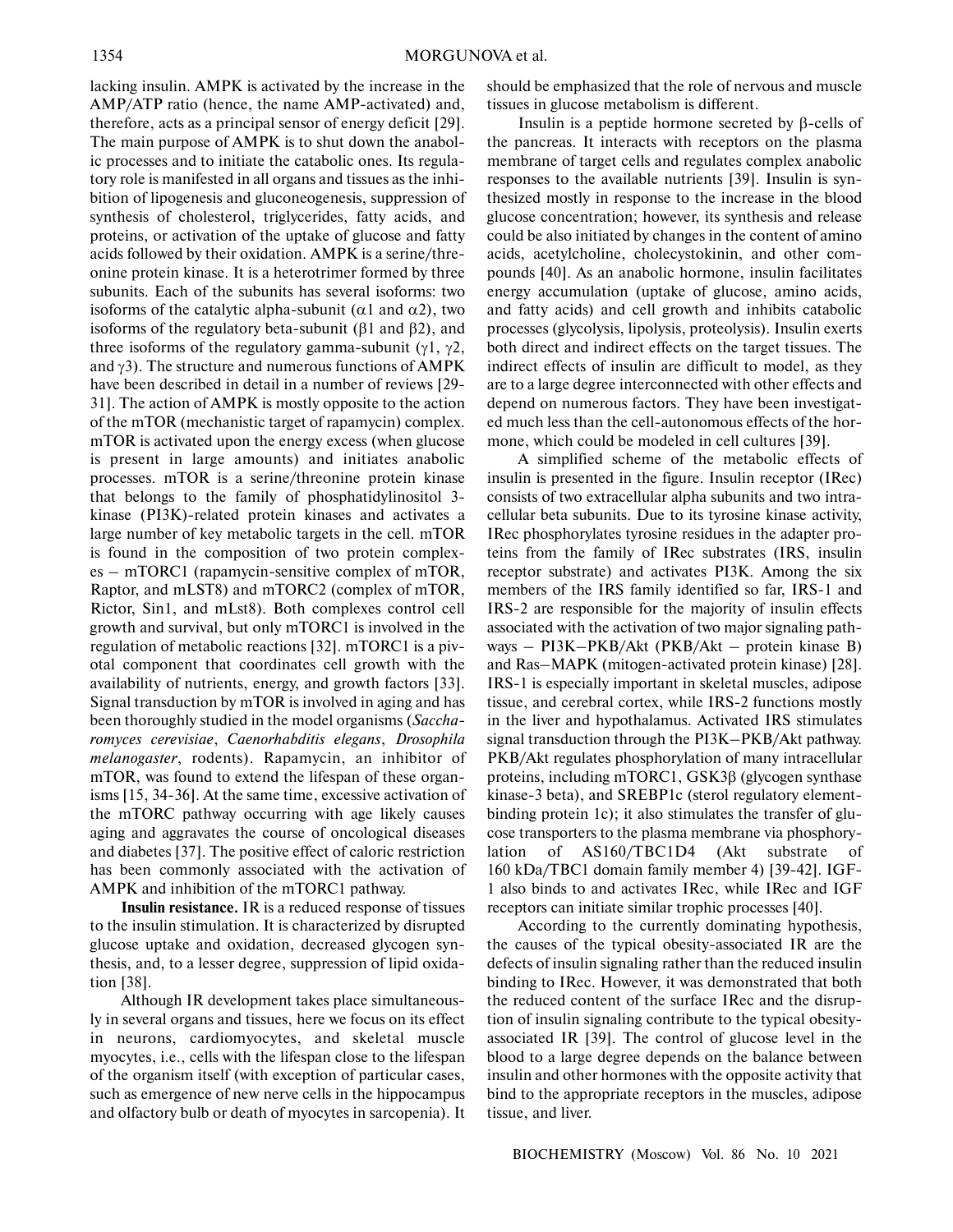lacking insulin. AMPK is activated by the increase in the AMP/ATP ratio (hence, the name AMP-activated) and, therefore, acts as a principal sensor of energy deficit [29]. The main purpose of AMPK is to shut down the anabol ic processes and to initiate the catabolic ones. Its regula tory role is manifested in all organs and tissues as the inhi bition of lipogenesis and gluconeogenesis, suppression of synthesis of cholesterol, triglycerides, fatty acids, and proteins, or activation of the uptake of glucose and fatty acids followed by their oxidation. AMPK is a serine/thre onine protein kinase. It is a heterotrimer formed by three subunits. Each of the subunits has several isoforms: two isoforms of the catalytic alpha-subunit ( $\alpha$ 1 and  $\alpha$ 2), two isoforms of the regulatory beta-subunit ( $\beta$ 1 and  $\beta$ 2), and three isoforms of the regulatory gamma-subunit ( $\gamma$ 1,  $\gamma$ 2, and  $\gamma$ 3). The structure and numerous functions of AMPK have been described in detail in a number of reviews [29- 31]. The action of AMPK is mostly opposite to the action of the mTOR (mechanistic target of rapamycin) complex. mTOR is activated upon the energy excess (when glucose is present in large amounts) and initiates anabolic processes. mTOR is a serine/threonine protein kinase that belongs to the family of phosphatidylinositol 3 kinase (PI3K)-related protein kinases and activates a large number of key metabolic targets in the cell. mTOR is found in the composition of two protein complex es – mTORC1 (rapamycin-sensitive complex of mTOR, Raptor, and mLST8) and mTORC2 (complex of mTOR, Rictor, Sin1, and mLst8). Both complexes control cell growth and survival, but only mTORC1 is involved in the regulation of metabolic reactions [32]. mTORC1 is a piv otal component that coordinates cell growth with the availability of nutrients, energy, and growth factors [33]. Signal transduction by mTOR is involved in aging and has been thoroughly studied in the model organisms (*Saccha romyces cerevisiae*, *Caenorhabditis elegans*, *Drosophila melanogaster*, rodents). Rapamycin, an inhibitor of mTOR, was found to extend the lifespan of these organ isms [15, 34-36]. At the same time, excessive activation of the mTORC pathway occurring with age likely causes aging and aggravates the course of oncological diseases and diabetes [37]. The positive effect of caloric restriction has been commonly associated with the activation of AMPK and inhibition of the mTORC1 pathway.

**Insulin resistance.** IR is a reduced response of tissues to the insulin stimulation. It is characterized by disrupted glucose uptake and oxidation, decreased glycogen syn thesis, and, to a lesser degree, suppression of lipid oxida tion [38].

Although IR development takes place simultaneous ly in several organs and tissues, here we focus on its effect in neurons, cardiomyocytes, and skeletal muscle myocytes, i.e., cells with the lifespan close to the lifespan of the organism itself (with exception of particular cases, such as emergence of new nerve cells in the hippocampus and olfactory bulb or death of myocytes in sarcopenia). It should be emphasized that the role of nervous and muscle tissues in glucose metabolism is different.

Insulin is a peptide hormone secreted by  $β$ -cells of the pancreas. It interacts with receptors on the plasma membrane of target cells and regulates complex anabolic responses to the available nutrients [39]. Insulin is syn thesized mostly in response to the increase in the blood glucose concentration; however, its synthesis and release could be also initiated by changes in the content of amino acids, acetylcholine, cholecystokinin, and other com pounds [40]. As an anabolic hormone, insulin facilitates energy accumulation (uptake of glucose, amino acids, and fatty acids) and cell growth and inhibits catabolic processes (glycolysis, lipolysis, proteolysis). Insulin exerts both direct and indirect effects on the target tissues. The indirect effects of insulin are difficult to model, as they are to a large degree interconnected with other effects and depend on numerous factors. They have been investigat ed much less than the cell-autonomous effects of the hor mone, which could be modeled in cell cultures [39].

A simplified scheme of the metabolic effects of insulin is presented in the figure. Insulin receptor (IRec) consists of two extracellular alpha subunits and two intra cellular beta subunits. Due to its tyrosine kinase activity, IRec phosphorylates tyrosine residues in the adapter pro teins from the family of IRec substrates (IRS, insulin receptor substrate) and activates PI3K. Among the six members of the IRS family identified so far, IRS-1 and IRS-2 are responsible for the majority of insulin effects associated with the activation of two major signaling path ways – PI3K–PKB/Akt (PKB/Akt – protein kinase B) and Ras–MAPK (mitogen-activated protein kinase) [28]. IRS-1 is especially important in skeletal muscles, adipose tissue, and cerebral cortex, while IRS-2 functions mostly in the liver and hypothalamus. Activated IRS stimulates signal transduction through the PI3K–PKB/Akt pathway. PKB/Akt regulates phosphorylation of many intracellular proteins, including mTORC1, GSK3β (glycogen synthase kinase-3 beta), and SREBP1c (sterol regulatory element binding protein 1c); it also stimulates the transfer of glu cose transporters to the plasma membrane via phosphory lation of AS160/TBC1D4 (Akt substrate of 160 kDa/TBC1 domain family member 4) [39-42]. IGF- 1 also binds to and activates IRec, while IRec and IGF receptors can initiate similar trophic processes [40].

According to the currently dominating hypothesis, the causes of the typical obesity-associated IR are the defects of insulin signaling rather than the reduced insulin binding to IRec. However, it was demonstrated that both the reduced content of the surface IRec and the disrup tion of insulin signaling contribute to the typical obesity associated IR [39]. The control of glucose level in the blood to a large degree depends on the balance between insulin and other hormones with the opposite activity that bind to the appropriate receptors in the muscles, adipose tissue, and liver.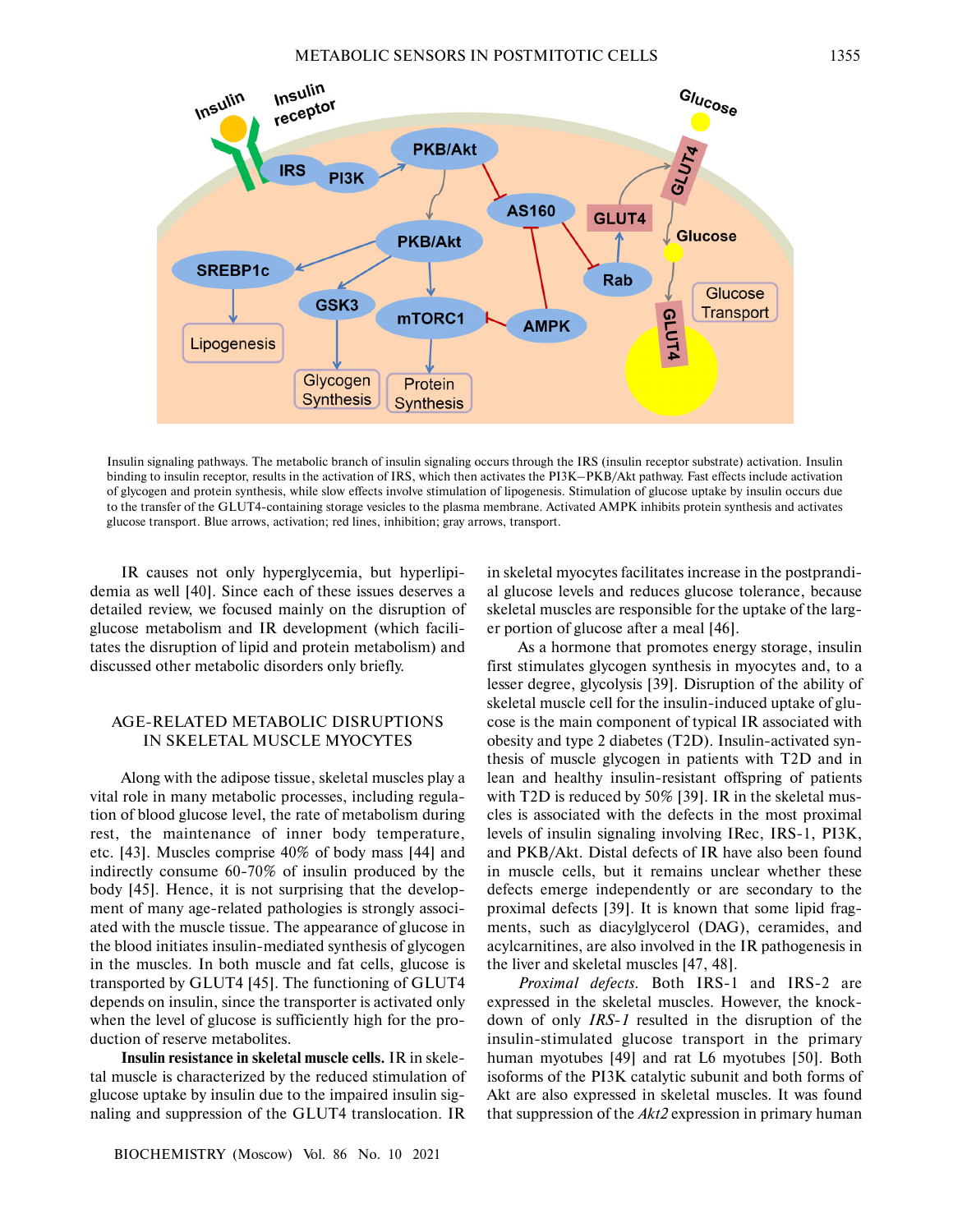

Insulin signaling pathways. The metabolic branch of insulin signaling occurs through the IRS (insulin receptor substrate) activation. Insulin binding to insulin receptor, results in the activation of IRS, which then activates the PI3K–PKB/Akt pathway. Fast effects include activation of glycogen and protein synthesis, while slow effects involve stimulation of lipogenesis. Stimulation of glucose uptake by insulin occurs due to the transfer of the GLUT4-containing storage vesicles to the plasma membrane. Activated AMPK inhibits protein synthesis and activates glucose transport. Blue arrows, activation; red lines, inhibition; gray arrows, transport.

IR causes not only hyperglycemia, but hyperlipi demia as well [40]. Since each of these issues deserves a detailed review, we focused mainly on the disruption of glucose metabolism and IR development (which facili tates the disruption of lipid and protein metabolism) and discussed other metabolic disorders only briefly.

# AGE-RELATED METABOLIC DISRUPTIONS IN SKELETAL MUSCLE MYOCYTES

Along with the adipose tissue, skeletal muscles play a vital role in many metabolic processes, including regula tion of blood glucose level, the rate of metabolism during rest, the maintenance of inner body temperature, etc. [43]. Muscles comprise 40% of body mass [44] and indirectly consume 60-70% of insulin produced by the body [45]. Hence, it is not surprising that the develop ment of many age-related pathologies is strongly associ ated with the muscle tissue. The appearance of glucose in the blood initiates insulin-mediated synthesis of glycogen in the muscles. In both muscle and fat cells, glucose is transported by GLUT4 [45]. The functioning of GLUT4 depends on insulin, since the transporter is activated only when the level of glucose is sufficiently high for the pro duction of reserve metabolites.

**Insulin resistance in skeletal muscle cells.** IR in skele tal muscle is characterized by the reduced stimulation of glucose uptake by insulin due to the impaired insulin sig naling and suppression of the GLUT4 translocation. IR

BIOCHEMISTRY (Moscow) Vol. 86 No. 10 2021

in skeletal myocytes facilitates increase in the postprandi al glucose levels and reduces glucose tolerance, because skeletal muscles are responsible for the uptake of the larg er portion of glucose after a meal [46].

As a hormone that promotes energy storage, insulin first stimulates glycogen synthesis in myocytes and, to a lesser degree, glycolysis [39]. Disruption of the ability of skeletal muscle cell for the insulin-induced uptake of glu cose is the main component of typical IR associated with obesity and type 2 diabetes (T2D). Insulin-activated syn thesis of muscle glycogen in patients with T2D and in lean and healthy insulin-resistant offspring of patients with T2D is reduced by 50% [39]. IR in the skeletal mus cles is associated with the defects in the most proximal levels of insulin signaling involving IRec, IRS-1, PI3K, and PKB/Akt. Distal defects of IR have also been found in muscle cells, but it remains unclear whether these defects emerge independently or are secondary to the proximal defects [39]. It is known that some lipid frag ments, such as diacylglycerol (DAG), ceramides, and acylcarnitines, are also involved in the IR pathogenesis in the liver and skeletal muscles [47, 48].

*Proximal defects.* Both IRS-1 and IRS-2 are expressed in the skeletal muscles. However, the knock down of only *IRS-1* resulted in the disruption of the insulin-stimulated glucose transport in the primary human myotubes [49] and rat L6 myotubes [50]. Both isoforms of the PI3K catalytic subunit and both forms of Akt are also expressed in skeletal muscles. It was found that suppression of the *Akt2* expression in primary human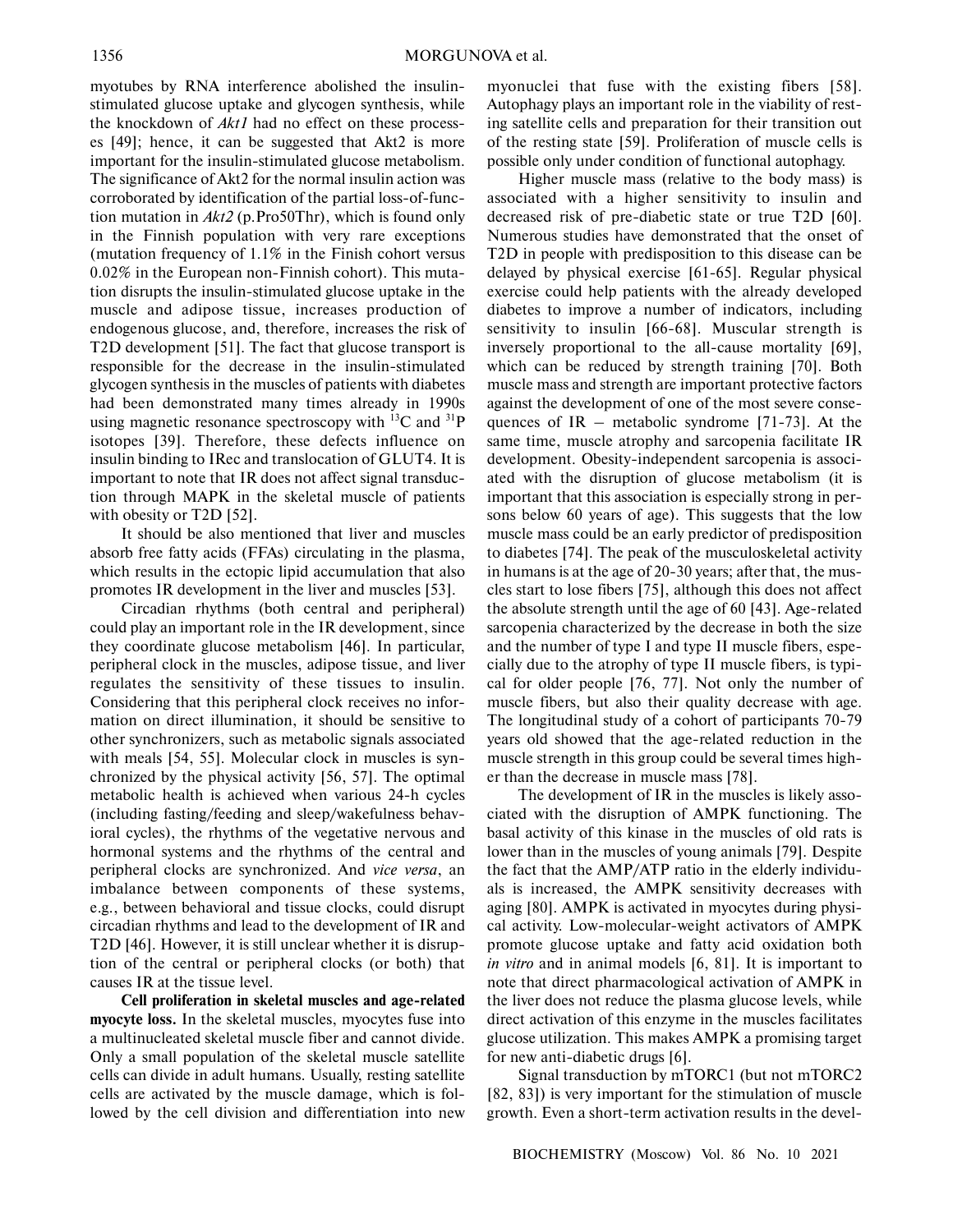myotubes by RNA interference abolished the insulin stimulated glucose uptake and glycogen synthesis, while the knockdown of *Akt1* had no effect on these process es [49]; hence, it can be suggested that Akt2 is more important for the insulin-stimulated glucose metabolism. The significance of Akt2 for the normal insulin action was corroborated by identification of the partial loss-of-func tion mutation in *Akt2* (p.Pro50Thr), which is found only in the Finnish population with very rare exceptions (mutation frequency of 1.1% in the Finish cohort versus 0.02% in the European non-Finnish cohort). This muta tion disrupts the insulin-stimulated glucose uptake in the muscle and adipose tissue, increases production of endogenous glucose, and, therefore, increases the risk of T2D development [51]. The fact that glucose transport is responsible for the decrease in the insulin-stimulated glycogen synthesis in the muscles of patients with diabetes had been demonstrated many times already in 1990s using magnetic resonance spectroscopy with  ${}^{13}C$  and  ${}^{31}P$ isotopes [39]. Therefore, these defects influence on insulin binding to IRec and translocation of GLUT4. It is important to note that IR does not affect signal transduc tion through MAPK in the skeletal muscle of patients with obesity or T2D [52].

It should be also mentioned that liver and muscles absorb free fatty acids (FFAs) circulating in the plasma, which results in the ectopic lipid accumulation that also promotes IR development in the liver and muscles [53].

Circadian rhythms (both central and peripheral) could play an important role in the IR development, since they coordinate glucose metabolism [46]. In particular, peripheral clock in the muscles, adipose tissue, and liver regulates the sensitivity of these tissues to insulin. Considering that this peripheral clock receives no infor mation on direct illumination, it should be sensitive to other synchronizers, such as metabolic signals associated with meals [54, 55]. Molecular clock in muscles is syn chronized by the physical activity [56, 57]. The optimal metabolic health is achieved when various 24-h cycles (including fasting/feeding and sleep/wakefulness behav ioral cycles), the rhythms of the vegetative nervous and hormonal systems and the rhythms of the central and peripheral clocks are synchronized. And *vice versa*, an imbalance between components of these systems, e.g., between behavioral and tissue clocks, could disrupt circadian rhythms and lead to the development of IR and T2D [46]. However, it is still unclear whether it is disrup tion of the central or peripheral clocks (or both) that causes IR at the tissue level.

**Cell proliferation in skeletal muscles and age-related myocyte loss.** In the skeletal muscles, myocytes fuse into a multinucleated skeletal muscle fiber and cannot divide. Only a small population of the skeletal muscle satellite cells can divide in adult humans. Usually, resting satellite cells are activated by the muscle damage, which is fol lowed by the cell division and differentiation into new myonuclei that fuse with the existing fibers [58]. Autophagy plays an important role in the viability of rest ing satellite cells and preparation for their transition out of the resting state [59]. Proliferation of muscle cells is possible only under condition of functional autophagy.

Higher muscle mass (relative to the body mass) is associated with a higher sensitivity to insulin and decreased risk of pre-diabetic state or true T2D [60]. Numerous studies have demonstrated that the onset of T2D in people with predisposition to this disease can be delayed by physical exercise [61-65]. Regular physical exercise could help patients with the already developed diabetes to improve a number of indicators, including sensitivity to insulin [66-68]. Muscular strength is inversely proportional to the all-cause mortality [69], which can be reduced by strength training [70]. Both muscle mass and strength are important protective factors against the development of one of the most severe conse quences of  $IR$  – metabolic syndrome [71-73]. At the same time, muscle atrophy and sarcopenia facilitate IR development. Obesity-independent sarcopenia is associ ated with the disruption of glucose metabolism (it is important that this association is especially strong in per sons below 60 years of age). This suggests that the low muscle mass could be an early predictor of predisposition to diabetes [74]. The peak of the musculoskeletal activity in humans is at the age of 20-30 years; after that, the mus cles start to lose fibers [75], although this does not affect the absolute strength until the age of 60 [43]. Age-related sarcopenia characterized by the decrease in both the size and the number of type I and type II muscle fibers, espe cially due to the atrophy of type II muscle fibers, is typi cal for older people [76, 77]. Not only the number of muscle fibers, but also their quality decrease with age. The longitudinal study of a cohort of participants 70-79 years old showed that the age-related reduction in the muscle strength in this group could be several times high er than the decrease in muscle mass [78].

The development of IR in the muscles is likely asso ciated with the disruption of AMPK functioning. The basal activity of this kinase in the muscles of old rats is lower than in the muscles of young animals [79]. Despite the fact that the AMP/ATP ratio in the elderly individu als is increased, the AMPK sensitivity decreases with aging [80]. AMPK is activated in myocytes during physi cal activity. Low-molecular-weight activators of AMPK promote glucose uptake and fatty acid oxidation both *in vitro* and in animal models [6, 81]. It is important to note that direct pharmacological activation of AMPK in the liver does not reduce the plasma glucose levels, while direct activation of this enzyme in the muscles facilitates glucose utilization. This makes AMPK a promising target for new anti-diabetic drugs [6].

Signal transduction by mTORC1 (but not mTORC2 [82, 83]) is very important for the stimulation of muscle growth. Even a short-term activation results in the devel-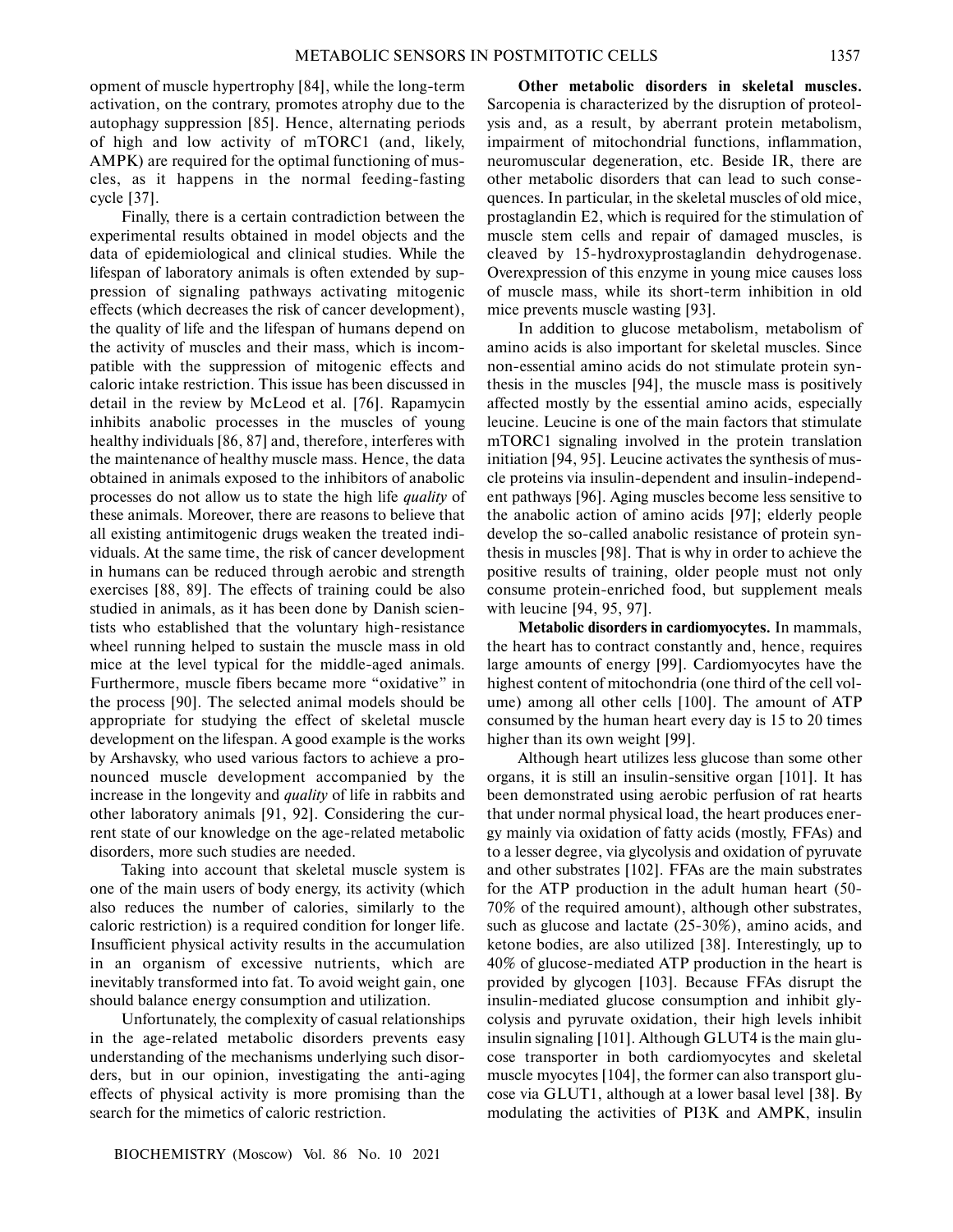opment of muscle hypertrophy [84], while the long-term activation, on the contrary, promotes atrophy due to the autophagy suppression [85]. Hence, alternating periods of high and low activity of mTORC1 (and, likely, AMPK) are required for the optimal functioning of mus cles, as it happens in the normal feeding-fasting cycle [37].

Finally, there is a certain contradiction between the experimental results obtained in model objects and the data of epidemiological and clinical studies. While the lifespan of laboratory animals is often extended by sup pression of signaling pathways activating mitogenic effects (which decreases the risk of cancer development), the quality of life and the lifespan of humans depend on the activity of muscles and their mass, which is incom patible with the suppression of mitogenic effects and caloric intake restriction. This issue has been discussed in detail in the review by McLeod et al. [76]. Rapamycin inhibits anabolic processes in the muscles of young healthy individuals [86, 87] and, therefore, interferes with the maintenance of healthy muscle mass. Hence, the data obtained in animals exposed to the inhibitors of anabolic processes do not allow us to state the high life *quality* of these animals. Moreover, there are reasons to believe that all existing antimitogenic drugs weaken the treated indi viduals. At the same time, the risk of cancer development in humans can be reduced through aerobic and strength exercises [88, 89]. The effects of training could be also studied in animals, as it has been done by Danish scien tists who established that the voluntary high-resistance wheel running helped to sustain the muscle mass in old mice at the level typical for the middle-aged animals. Furthermore, muscle fibers became more "oxidative" in the process [90]. The selected animal models should be appropriate for studying the effect of skeletal muscle development on the lifespan. A good example is the works by Arshavsky, who used various factors to achieve a pro nounced muscle development accompanied by the increase in the longevity and *quality* of life in rabbits and other laboratory animals [91, 92]. Considering the cur rent state of our knowledge on the age-related metabolic disorders, more such studies are needed.

Taking into account that skeletal muscle system is one of the main users of body energy, its activity (which also reduces the number of calories, similarly to the caloric restriction) is a required condition for longer life. Insufficient physical activity results in the accumulation in an organism of excessive nutrients, which are inevitably transformed into fat. To avoid weight gain, one should balance energy consumption and utilization.

Unfortunately, the complexity of casual relationships in the age-related metabolic disorders prevents easy understanding of the mechanisms underlying such disor ders, but in our opinion, investigating the anti-aging effects of physical activity is more promising than the search for the mimetics of caloric restriction.

**Other metabolic disorders in skeletal muscles.** Sarcopenia is characterized by the disruption of proteol ysis and, as a result, by aberrant protein metabolism, impairment of mitochondrial functions, inflammation, neuromuscular degeneration, etc. Beside IR, there are other metabolic disorders that can lead to such conse quences. In particular, in the skeletal muscles of old mice, prostaglandin E2, which is required for the stimulation of muscle stem cells and repair of damaged muscles, is cleaved by 15-hydroxyprostaglandin dehydrogenase. Overexpression of this enzyme in young mice causes loss of muscle mass, while its short-term inhibition in old mice prevents muscle wasting [93].

In addition to glucose metabolism, metabolism of amino acids is also important for skeletal muscles. Since non-essential amino acids do not stimulate protein syn thesis in the muscles [94], the muscle mass is positively affected mostly by the essential amino acids, especially leucine. Leucine is one of the main factors that stimulate mTORC1 signaling involved in the protein translation initiation [94, 95]. Leucine activates the synthesis of mus cle proteins via insulin-dependent and insulin-independ ent pathways [96]. Aging muscles become less sensitive to the anabolic action of amino acids [97]; elderly people develop the so-called anabolic resistance of protein syn thesis in muscles [98]. That is why in order to achieve the positive results of training, older people must not only consume protein-enriched food, but supplement meals with leucine [94, 95, 97].

**Metabolic disorders in cardiomyocytes.** In mammals, the heart has to contract constantly and, hence, requires large amounts of energy [99]. Cardiomyocytes have the highest content of mitochondria (one third of the cell vol ume) among all other cells [100]. The amount of ATP consumed by the human heart every day is 15 to 20 times higher than its own weight [99].

Although heart utilizes less glucose than some other organs, it is still an insulin-sensitive organ [101]. It has been demonstrated using aerobic perfusion of rat hearts that under normal physical load, the heart produces ener gy mainly via oxidation of fatty acids (mostly, FFAs) and to a lesser degree, via glycolysis and oxidation of pyruvate and other substrates [102]. FFAs are the main substrates for the ATP production in the adult human heart (50- 70% of the required amount), although other substrates, such as glucose and lactate (25-30%), amino acids, and ketone bodies, are also utilized [38]. Interestingly, up to 40% of glucose-mediated ATP production in the heart is provided by glycogen [103]. Because FFAs disrupt the insulin-mediated glucose consumption and inhibit gly colysis and pyruvate oxidation, their high levels inhibit insulin signaling [101]. Although GLUT4 is the main glu cose transporter in both cardiomyocytes and skeletal muscle myocytes [104], the former can also transport glu cose via GLUT1, although at a lower basal level [38]. By modulating the activities of PI3K and AMPK, insulin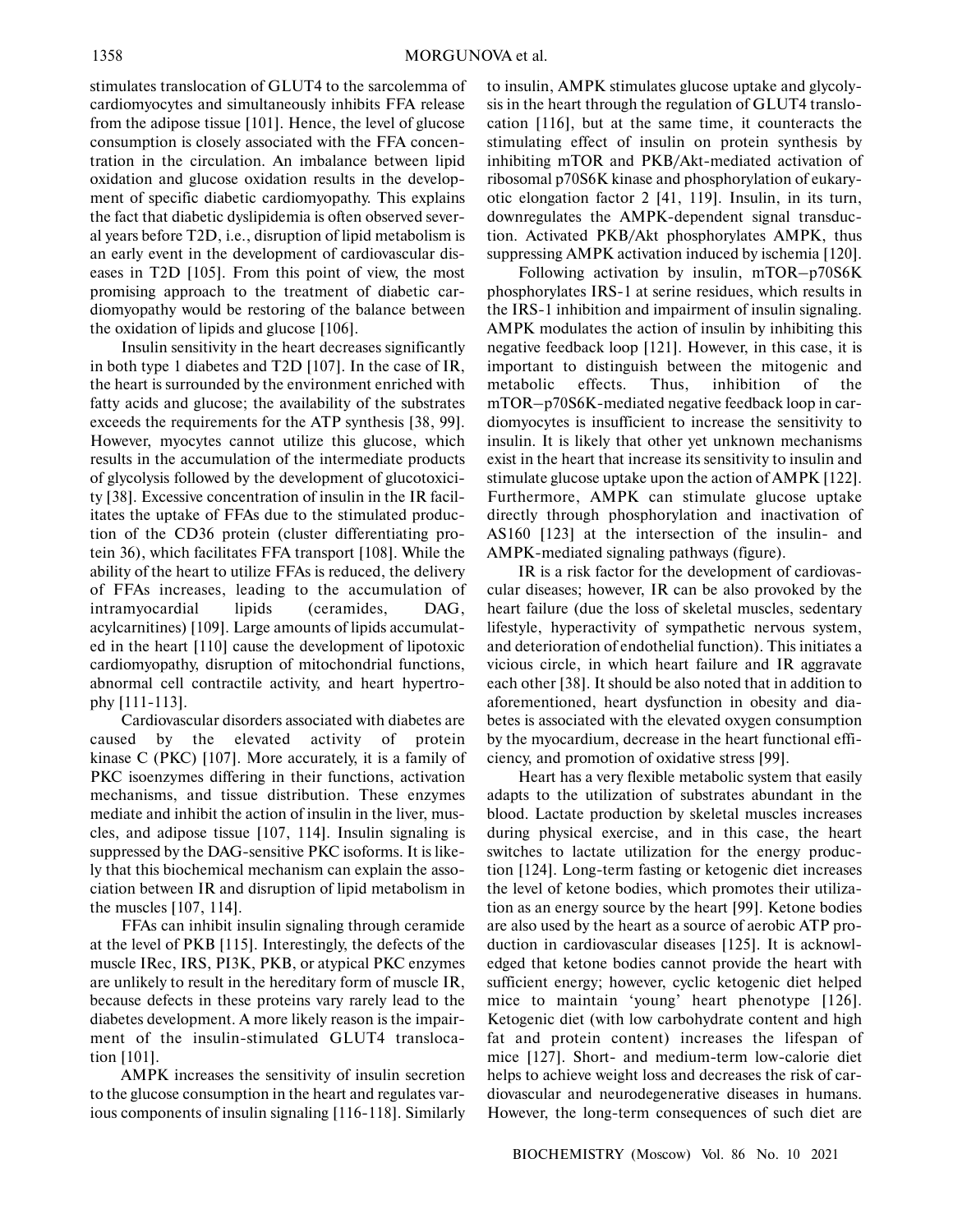stimulates translocation of GLUT4 to the sarcolemma of cardiomyocytes and simultaneously inhibits FFA release from the adipose tissue [101]. Hence, the level of glucose consumption is closely associated with the FFA concen tration in the circulation. An imbalance between lipid oxidation and glucose oxidation results in the develop ment of specific diabetic cardiomyopathy. This explains the fact that diabetic dyslipidemia is often observed sever al years before T2D, i.e., disruption of lipid metabolism is an early event in the development of cardiovascular dis eases in T2D [105]. From this point of view, the most promising approach to the treatment of diabetic car diomyopathy would be restoring of the balance between the oxidation of lipids and glucose [106].

Insulin sensitivity in the heart decreases significantly in both type 1 diabetes and T2D [107]. In the case of IR, the heart is surrounded by the environment enriched with fatty acids and glucose; the availability of the substrates exceeds the requirements for the ATP synthesis [38, 99]. However, myocytes cannot utilize this glucose, which results in the accumulation of the intermediate products of glycolysis followed by the development of glucotoxici ty [38]. Excessive concentration of insulin in the IR facil itates the uptake of FFAs due to the stimulated produc tion of the CD36 protein (cluster differentiating pro tein 36), which facilitates FFA transport [108]. While the ability of the heart to utilize FFAs is reduced, the delivery of FFAs increases, leading to the accumulation of intramyocardial lipids (ceramides, DAG, acylcarnitines) [109]. Large amounts of lipids accumulat ed in the heart [110] cause the development of lipotoxic cardiomyopathy, disruption of mitochondrial functions, abnormal cell contractile activity, and heart hypertro phy [111-113].

Cardiovascular disorders associated with diabetes are caused by the elevated activity of protein kinase C (PKC) [107]. More accurately, it is a family of PKC isoenzymes differing in their functions, activation mechanisms, and tissue distribution. These enzymes mediate and inhibit the action of insulin in the liver, mus cles, and adipose tissue [107, 114]. Insulin signaling is suppressed by the DAG-sensitive PKC isoforms. It is like ly that this biochemical mechanism can explain the asso ciation between IR and disruption of lipid metabolism in the muscles [107, 114].

FFAs can inhibit insulin signaling through ceramide at the level of PKB [115]. Interestingly, the defects of the muscle IRec, IRS, PI3K, PKB, or atypical PKC enzymes are unlikely to result in the hereditary form of muscle IR, because defects in these proteins vary rarely lead to the diabetes development. A more likely reason is the impair ment of the insulin-stimulated GLUT4 transloca tion [101].

AMPK increases the sensitivity of insulin secretion to the glucose consumption in the heart and regulates var ious components of insulin signaling [116-118]. Similarly

to insulin, AMPK stimulates glucose uptake and glycoly sis in the heart through the regulation of GLUT4 translo cation [116], but at the same time, it counteracts the stimulating effect of insulin on protein synthesis by inhibiting mTOR and PKB/Akt-mediated activation of ribosomal p70S6K kinase and phosphorylation of eukary otic elongation factor 2 [41, 119]. Insulin, in its turn, downregulates the AMPK-dependent signal transduc tion. Activated PKB/Akt phosphorylates AMPK, thus suppressing AMPK activation induced by ischemia [120].

Following activation by insulin, mTOR–p70S6K phosphorylates IRS-1 at serine residues, which results in the IRS-1 inhibition and impairment of insulin signaling. AMPK modulates the action of insulin by inhibiting this negative feedback loop [121]. However, in this case, it is important to distinguish between the mitogenic and metabolic effects. Thus, inhibition of the mTOR–p70S6K-mediated negative feedback loop in car diomyocytes is insufficient to increase the sensitivity to insulin. It is likely that other yet unknown mechanisms exist in the heart that increase its sensitivity to insulin and stimulate glucose uptake upon the action of AMPK [122]. Furthermore, AMPK can stimulate glucose uptake directly through phosphorylation and inactivation of AS160 [123] at the intersection of the insulin- and AMPK-mediated signaling pathways (figure).

IR is a risk factor for the development of cardiovas cular diseases; however, IR can be also provoked by the heart failure (due the loss of skeletal muscles, sedentary lifestyle, hyperactivity of sympathetic nervous system, and deterioration of endothelial function). This initiates a vicious circle, in which heart failure and IR aggravate each other [38]. It should be also noted that in addition to aforementioned, heart dysfunction in obesity and dia betes is associated with the elevated oxygen consumption by the myocardium, decrease in the heart functional effi ciency, and promotion of oxidative stress [99].

Heart has a very flexible metabolic system that easily adapts to the utilization of substrates abundant in the blood. Lactate production by skeletal muscles increases during physical exercise, and in this case, the heart switches to lactate utilization for the energy produc tion [124]. Long-term fasting or ketogenic diet increases the level of ketone bodies, which promotes their utiliza tion as an energy source by the heart [99]. Ketone bodies are also used by the heart as a source of aerobic ATP pro duction in cardiovascular diseases [125]. It is acknowl edged that ketone bodies cannot provide the heart with sufficient energy; however, cyclic ketogenic diet helped mice to maintain 'young' heart phenotype [126]. Ketogenic diet (with low carbohydrate content and high fat and protein content) increases the lifespan of mice [127]. Short- and medium-term low-calorie diet helps to achieve weight loss and decreases the risk of car diovascular and neurodegenerative diseases in humans. However, the long-term consequences of such diet are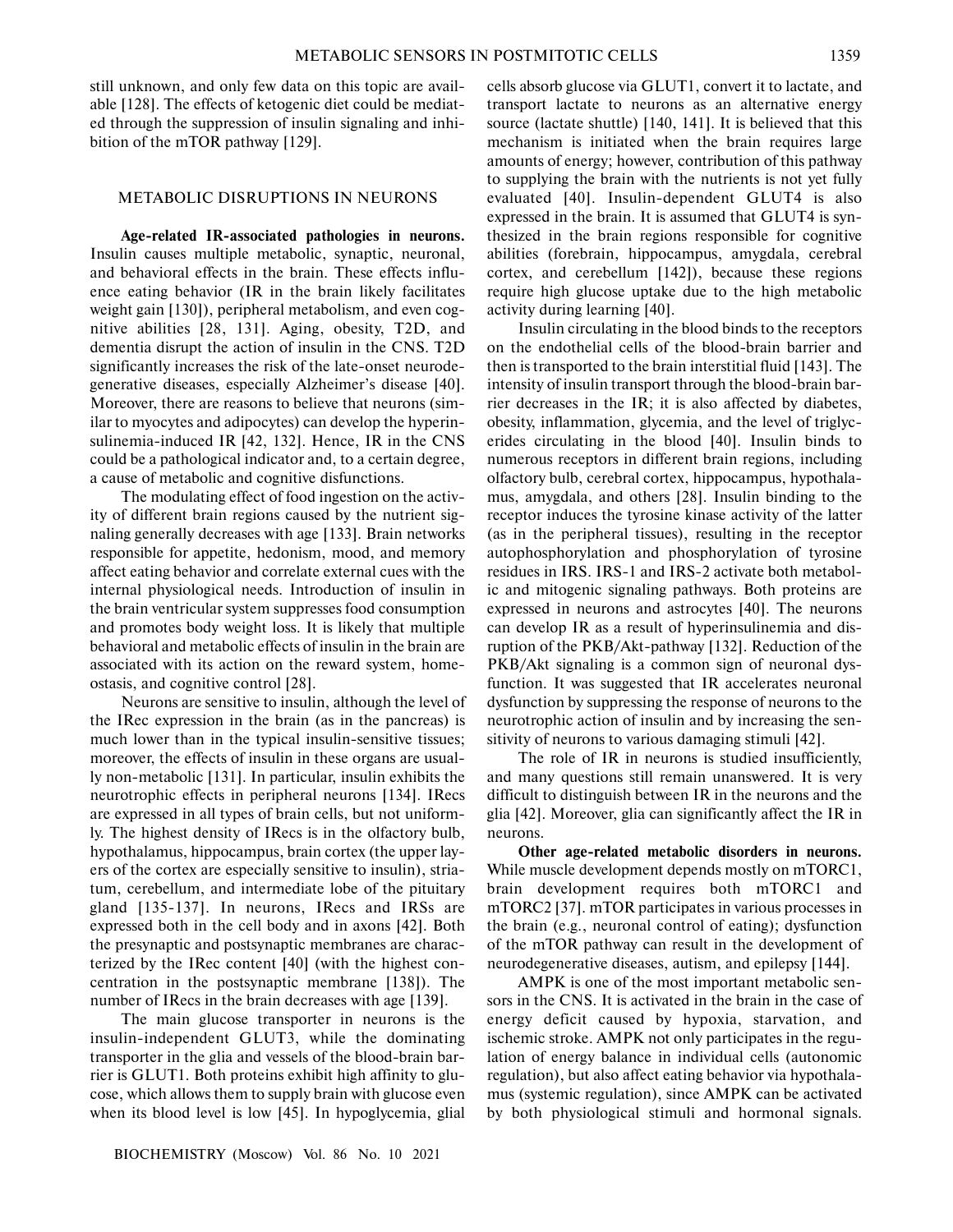still unknown, and only few data on this topic are avail able [128]. The effects of ketogenic diet could be mediat ed through the suppression of insulin signaling and inhi bition of the mTOR pathway [129].

# METABOLIC DISRUPTIONS IN NEURONS

**Age-related IR-associated pathologies in neurons.** Insulin causes multiple metabolic, synaptic, neuronal, and behavioral effects in the brain. These effects influ ence eating behavior (IR in the brain likely facilitates weight gain [130]), peripheral metabolism, and even cog nitive abilities [28, 131]. Aging, obesity, T2D, and dementia disrupt the action of insulin in the CNS. T2D significantly increases the risk of the late-onset neurode generative diseases, especially Alzheimer's disease [40]. Moreover, there are reasons to believe that neurons (sim ilar to myocytes and adipocytes) can develop the hyperin sulinemia-induced IR [42, 132]. Hence, IR in the CNS could be a pathological indicator and, to a certain degree, a cause of metabolic and cognitive disfunctions.

The modulating effect of food ingestion on the activ ity of different brain regions caused by the nutrient sig naling generally decreases with age [133]. Brain networks responsible for appetite, hedonism, mood, and memory affect eating behavior and correlate external cues with the internal physiological needs. Introduction of insulin in the brain ventricular system suppresses food consumption and promotes body weight loss. It is likely that multiple behavioral and metabolic effects of insulin in the brain are associated with its action on the reward system, home ostasis, and cognitive control [28].

Neurons are sensitive to insulin, although the level of the IRec expression in the brain (as in the pancreas) is much lower than in the typical insulin-sensitive tissues; moreover, the effects of insulin in these organs are usual ly non-metabolic [131]. In particular, insulin exhibits the neurotrophic effects in peripheral neurons [134]. IRecs are expressed in all types of brain cells, but not uniform ly. The highest density of IRecs is in the olfactory bulb, hypothalamus, hippocampus, brain cortex (the upper lay ers of the cortex are especially sensitive to insulin), stria tum, cerebellum, and intermediate lobe of the pituitary gland [135-137]. In neurons, IRecs and IRSs are expressed both in the cell body and in axons [42]. Both the presynaptic and postsynaptic membranes are charac terized by the IRec content [40] (with the highest con centration in the postsynaptic membrane [138]). The number of IRecs in the brain decreases with age [139].

The main glucose transporter in neurons is the insulin-independent GLUT3, while the dominating transporter in the glia and vessels of the blood-brain bar rier is GLUT1. Both proteins exhibit high affinity to glu cose, which allows them to supply brain with glucose even when its blood level is low [45]. In hypoglycemia, glial

cells absorb glucose via GLUT1, convert it to lactate, and transport lactate to neurons as an alternative energy source (lactate shuttle) [140, 141]. It is believed that this mechanism is initiated when the brain requires large amounts of energy; however, contribution of this pathway to supplying the brain with the nutrients is not yet fully evaluated [40]. Insulin-dependent GLUT4 is also expressed in the brain. It is assumed that GLUT4 is syn thesized in the brain regions responsible for cognitive abilities (forebrain, hippocampus, amygdala, cerebral cortex, and cerebellum [142]), because these regions require high glucose uptake due to the high metabolic activity during learning [40].

Insulin circulating in the blood binds to the receptors on the endothelial cells of the blood-brain barrier and then is transported to the brain interstitial fluid [143]. The intensity of insulin transport through the blood-brain bar rier decreases in the IR; it is also affected by diabetes, obesity, inflammation, glycemia, and the level of triglyc erides circulating in the blood [40]. Insulin binds to numerous receptors in different brain regions, including olfactory bulb, cerebral cortex, hippocampus, hypothala mus, amygdala, and others [28]. Insulin binding to the receptor induces the tyrosine kinase activity of the latter (as in the peripheral tissues), resulting in the receptor autophosphorylation and phosphorylation of tyrosine residues in IRS. IRS-1 and IRS-2 activate both metabol ic and mitogenic signaling pathways. Both proteins are expressed in neurons and astrocytes [40]. The neurons can develop IR as a result of hyperinsulinemia and dis ruption of the PKB/Akt-pathway [132]. Reduction of the PKB/Akt signaling is a common sign of neuronal dys function. It was suggested that IR accelerates neuronal dysfunction by suppressing the response of neurons to the neurotrophic action of insulin and by increasing the sen sitivity of neurons to various damaging stimuli [42].

The role of IR in neurons is studied insufficiently, and many questions still remain unanswered. It is very difficult to distinguish between IR in the neurons and the glia [42]. Moreover, glia can significantly affect the IR in neurons.

**Other age-related metabolic disorders in neurons.** While muscle development depends mostly on mTORC1, brain development requires both mTORC1 and mTORC2 [37]. mTOR participates in various processes in the brain (e.g., neuronal control of eating); dysfunction of the mTOR pathway can result in the development of neurodegenerative diseases, autism, and epilepsy [144].

AMPK is one of the most important metabolic sen sors in the CNS. It is activated in the brain in the case of energy deficit caused by hypoxia, starvation, and ischemic stroke. AMPK not only participates in the regu lation of energy balance in individual cells (autonomic regulation), but also affect eating behavior via hypothala mus (systemic regulation), since AMPK can be activated by both physiological stimuli and hormonal signals.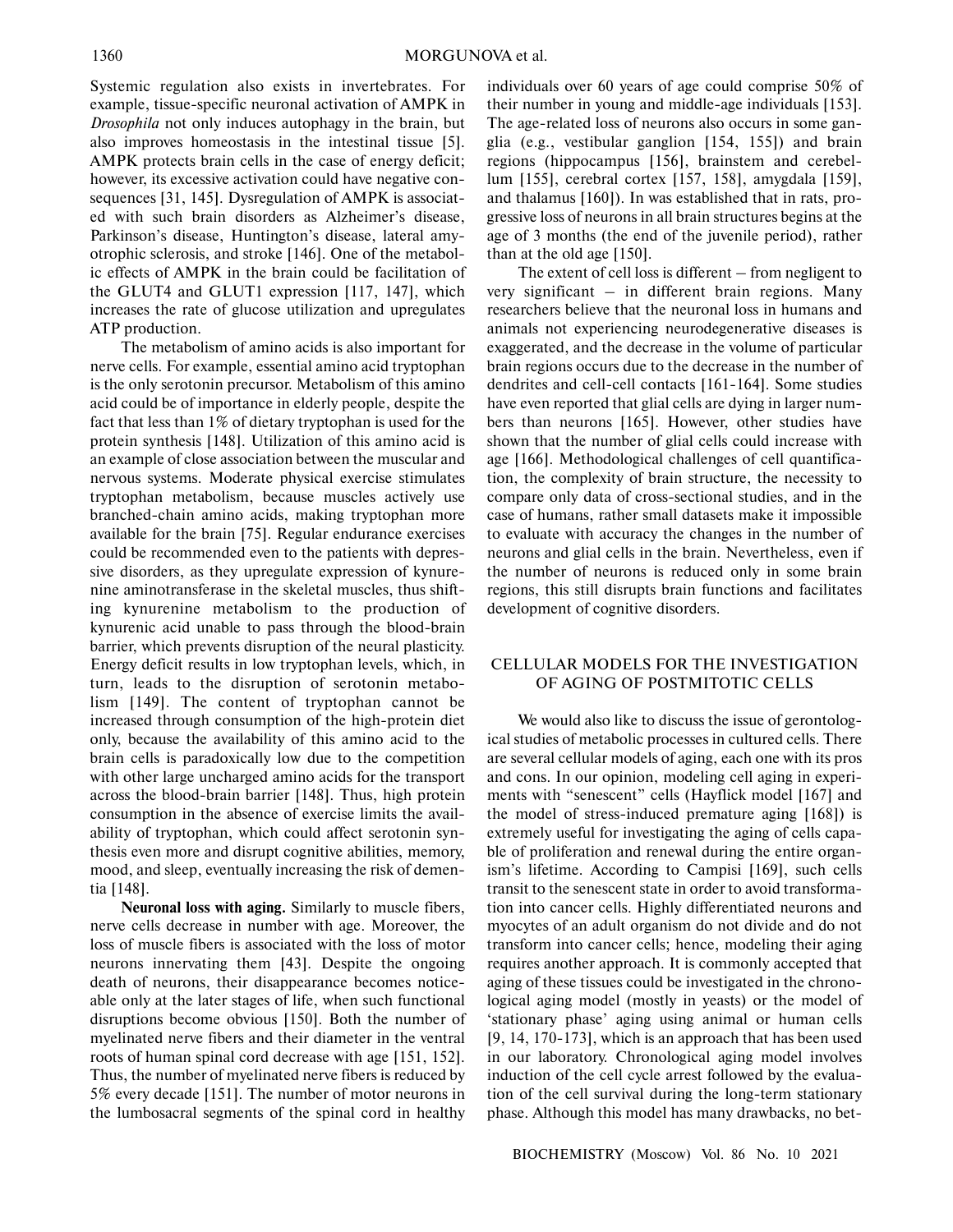Systemic regulation also exists in invertebrates. For example, tissue-specific neuronal activation of AMPK in *Drosophila* not only induces autophagy in the brain, but also improves homeostasis in the intestinal tissue [5]. AMPK protects brain cells in the case of energy deficit; however, its excessive activation could have negative con sequences [31, 145]. Dysregulation of AMPK is associat ed with such brain disorders as Alzheimer's disease, Parkinson's disease, Huntington's disease, lateral amy otrophic sclerosis, and stroke [146]. One of the metabol ic effects of AMPK in the brain could be facilitation of the GLUT4 and GLUT1 expression [117, 147], which increases the rate of glucose utilization and upregulates ATP production.

The metabolism of amino acids is also important for nerve cells. For example, essential amino acid tryptophan is the only serotonin precursor. Metabolism of this amino acid could be of importance in elderly people, despite the fact that less than 1% of dietary tryptophan is used for the protein synthesis [148]. Utilization of this amino acid is an example of close association between the muscular and nervous systems. Moderate physical exercise stimulates tryptophan metabolism, because muscles actively use branched-chain amino acids, making tryptophan more available for the brain [75]. Regular endurance exercises could be recommended even to the patients with depres sive disorders, as they upregulate expression of kynure nine aminotransferase in the skeletal muscles, thus shift ing kynurenine metabolism to the production of kynurenic acid unable to pass through the blood-brain barrier, which prevents disruption of the neural plasticity. Energy deficit results in low tryptophan levels, which, in turn, leads to the disruption of serotonin metabo lism [149]. The content of tryptophan cannot be increased through consumption of the high-protein diet only, because the availability of this amino acid to the brain cells is paradoxically low due to the competition with other large uncharged amino acids for the transport across the blood-brain barrier [148]. Thus, high protein consumption in the absence of exercise limits the avail ability of tryptophan, which could affect serotonin syn thesis even more and disrupt cognitive abilities, memory, mood, and sleep, eventually increasing the risk of demen tia [148].

**Neuronal loss with aging.** Similarly to muscle fibers, nerve cells decrease in number with age. Moreover, the loss of muscle fibers is associated with the loss of motor neurons innervating them [43]. Despite the ongoing death of neurons, their disappearance becomes notice able only at the later stages of life, when such functional disruptions become obvious [150]. Both the number of myelinated nerve fibers and their diameter in the ventral roots of human spinal cord decrease with age [151, 152]. Thus, the number of myelinated nerve fibers is reduced by 5% every decade [151]. The number of motor neurons in the lumbosacral segments of the spinal cord in healthy

individuals over 60 years of age could comprise 50% of their number in young and middle-age individuals [153]. The age-related loss of neurons also occurs in some gan glia (e.g., vestibular ganglion [154, 155]) and brain regions (hippocampus [156], brainstem and cerebel lum [155], cerebral cortex [157, 158], amygdala [159], and thalamus [160]). In was established that in rats, pro gressive loss of neurons in all brain structures begins at the age of 3 months (the end of the juvenile period), rather than at the old age [150].

The extent of cell loss is different – from negligent to very significant – in different brain regions. Many researchers believe that the neuronal loss in humans and animals not experiencing neurodegenerative diseases is exaggerated, and the decrease in the volume of particular brain regions occurs due to the decrease in the number of dendrites and cell-cell contacts [161-164]. Some studies have even reported that glial cells are dying in larger num bers than neurons [165]. However, other studies have shown that the number of glial cells could increase with age [166]. Methodological challenges of cell quantifica tion, the complexity of brain structure, the necessity to compare only data of cross-sectional studies, and in the case of humans, rather small datasets make it impossible to evaluate with accuracy the changes in the number of neurons and glial cells in the brain. Nevertheless, even if the number of neurons is reduced only in some brain regions, this still disrupts brain functions and facilitates development of cognitive disorders.

# CELLULAR MODELS FOR THE INVESTIGATION OF AGING OF POSTMITOTIC CELLS

We would also like to discuss the issue of gerontolog ical studies of metabolic processes in cultured cells. There are several cellular models of aging, each one with its pros and cons. In our opinion, modeling cell aging in experi ments with "senescent" cells (Hayflick model [167] and the model of stress-induced premature aging [168]) is extremely useful for investigating the aging of cells capa ble of proliferation and renewal during the entire organ ism's lifetime. According to Campisi [169], such cells transit to the senescent state in order to avoid transforma tion into cancer cells. Highly differentiated neurons and myocytes of an adult organism do not divide and do not transform into cancer cells; hence, modeling their aging requires another approach. It is commonly accepted that aging of these tissues could be investigated in the chrono logical aging model (mostly in yeasts) or the model of 'stationary phase' aging using animal or human cells [9, 14, 170-173], which is an approach that has been used in our laboratory. Chronological aging model involves induction of the cell cycle arrest followed by the evalua tion of the cell survival during the long-term stationary phase. Although this model has many drawbacks, no bet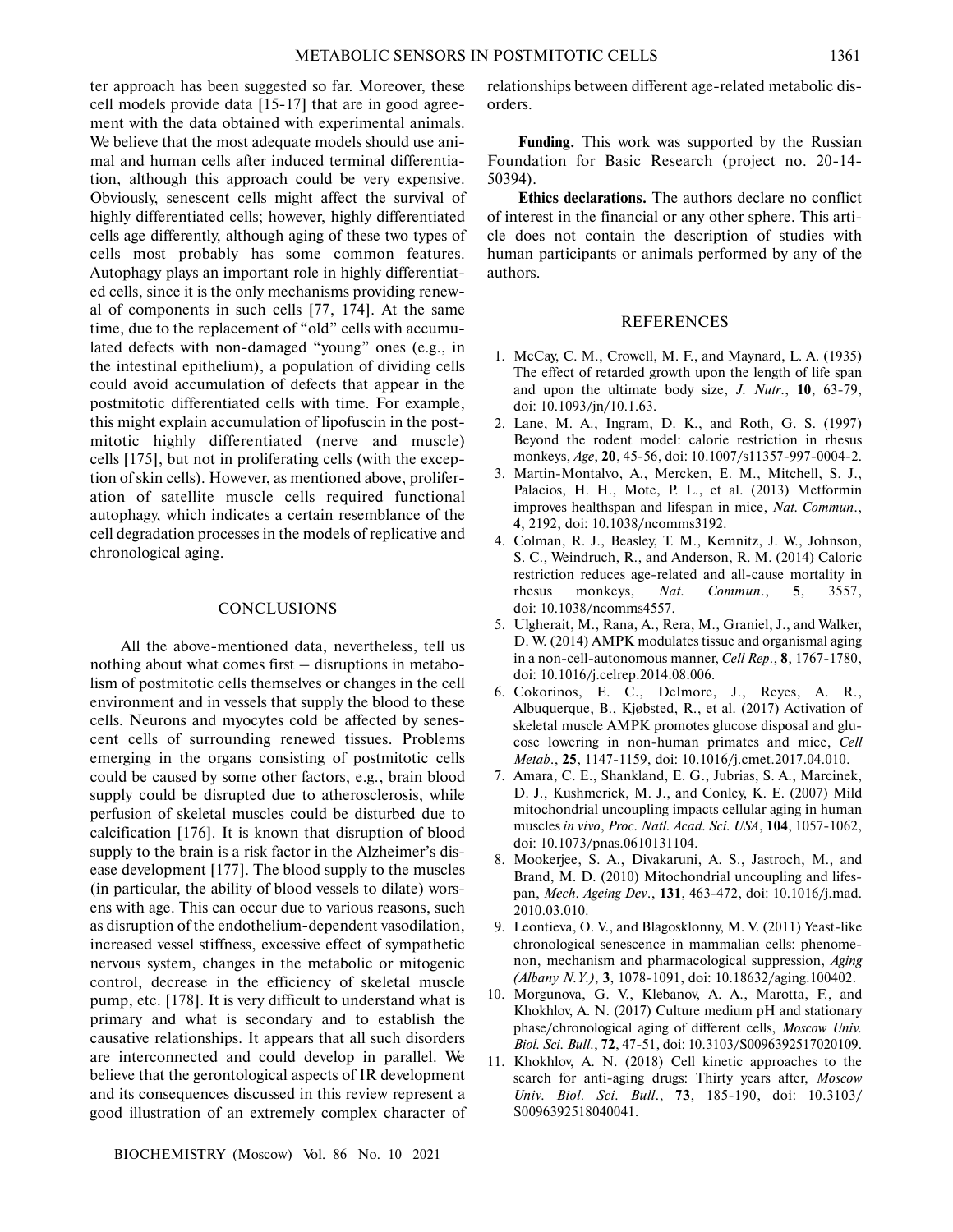ter approach has been suggested so far. Moreover, these cell models provide data [15-17] that are in good agree ment with the data obtained with experimental animals. We believe that the most adequate models should use ani mal and human cells after induced terminal differentia tion, although this approach could be very expensive. Obviously, senescent cells might affect the survival of highly differentiated cells; however, highly differentiated cells age differently, although aging of these two types of cells most probably has some common features. Autophagy plays an important role in highly differentiat ed cells, since it is the only mechanisms providing renew al of components in such cells [77, 174]. At the same time, due to the replacement of "old" cells with accumu lated defects with non-damaged "young" ones (e.g., in the intestinal epithelium), a population of dividing cells could avoid accumulation of defects that appear in the postmitotic differentiated cells with time. For example, this might explain accumulation of lipofuscin in the post mitotic highly differentiated (nerve and muscle) cells [175], but not in proliferating cells (with the excep tion of skin cells). However, as mentioned above, prolifer ation of satellite muscle cells required functional autophagy, which indicates a certain resemblance of the cell degradation processes in the models of replicative and chronological aging.

# **CONCLUSIONS**

All the above-mentioned data, nevertheless, tell us nothing about what comes first – disruptions in metabo lism of postmitotic cells themselves or changes in the cell environment and in vessels that supply the blood to these cells. Neurons and myocytes cold be affected by senes cent cells of surrounding renewed tissues. Problems emerging in the organs consisting of postmitotic cells could be caused by some other factors, e.g., brain blood supply could be disrupted due to atherosclerosis, while perfusion of skeletal muscles could be disturbed due to calcification [176]. It is known that disruption of blood supply to the brain is a risk factor in the Alzheimer's dis ease development [177]. The blood supply to the muscles (in particular, the ability of blood vessels to dilate) wors ens with age. This can occur due to various reasons, such as disruption of the endothelium-dependent vasodilation, increased vessel stiffness, excessive effect of sympathetic nervous system, changes in the metabolic or mitogenic control, decrease in the efficiency of skeletal muscle pump, etc. [178]. It is very difficult to understand what is primary and what is secondary and to establish the causative relationships. It appears that all such disorders are interconnected and could develop in parallel. We believe that the gerontological aspects of IR development and its consequences discussed in this review represent a good illustration of an extremely complex character of

BIOCHEMISTRY (Moscow) Vol. 86 No. 10 2021

relationships between different age-related metabolic dis orders.

**Funding.** This work was supported by the Russian Foundation for Basic Research (project no. 20-14- 50394).

**Ethics declarations.** The authors declare no conflict of interest in the financial or any other sphere. This arti cle does not contain the description of studies with human participants or animals performed by any of the authors.

#### REFERENCES

- 1. McCay, C. M., Crowell, M. F., and Maynard, L. A. (1935) The effect of retarded growth upon the length of life span and upon the ultimate body size, *J. Nutr*., **10**, 63-79, doi: 10.1093/jn/10.1.63.
- 2. Lane, M. A., Ingram, D. K., and Roth, G. S. (1997) Beyond the rodent model: calorie restriction in rhesus monkeys, *Age*, **20**, 45-56, doi: 10.1007/s11357-997-0004-2.
- 3. Martin-Montalvo, A., Mercken, E. M., Mitchell, S. J., Palacios, H. H., Mote, P. L., et al. (2013) Metformin improves healthspan and lifespan in mice, *Nat. Commun*., **4**, 2192, doi: 10.1038/ncomms3192.
- 4. Colman, R. J., Beasley, T. M., Kemnitz, J. W., Johnson, S. C., Weindruch, R., and Anderson, R. M. (2014) Caloric restriction reduces age-related and all-cause mortality in rhesus monkeys, *Nat. Commun*., **5**, 3557, doi: 10.1038/ncomms4557.
- 5. Ulgherait, M., Rana, A., Rera, M., Graniel, J., and Walker, D. W. (2014) AMPK modulates tissue and organismal aging in a non-cell-autonomous manner, *Cell Rep*., **8**, 1767-1780, doi: 10.1016/j.celrep.2014.08.006.
- 6. Cokorinos, E. C., Delmore, J., Reyes, A. R., Albuquerque, B., Kjøbsted, R., et al. (2017) Activation of skeletal muscle AMPK promotes glucose disposal and glu cose lowering in non-human primates and mice, *Cell Metab*., **25**, 1147-1159, doi: 10.1016/j.cmet.2017.04.010.
- 7. Amara, C. E., Shankland, E. G., Jubrias, S. A., Marcinek, D. J., Kushmerick, M. J., and Conley, K. E. (2007) Mild mitochondrial uncoupling impacts cellular aging in human muscles *in vivo*, *Proc. Natl. Acad. Sci. USA*, **104**, 1057-1062, doi: 10.1073/pnas.0610131104.
- 8. Mookerjee, S. A., Divakaruni, A. S., Jastroch, M., and Brand, M. D. (2010) Mitochondrial uncoupling and lifes pan, *Mech. Ageing Dev*., **131**, 463-472, doi: 10.1016/j.mad. 2010.03.010.
- 9. Leontieva, O. V., and Blagosklonny, M. V. (2011) Yeast-like chronological senescence in mammalian cells: phenome non, mechanism and pharmacological suppression, *Aging (Albany N.Y.)*, **3**, 1078-1091, doi: 10.18632/aging.100402.
- 10. Morgunova, G. V., Klebanov, A. A., Marotta, F., and Khokhlov, A. N. (2017) Culture medium pH and stationary phase/chronological aging of different cells, *Moscow Univ. Biol. Sci. Bull*., **72**, 47-51, doi: 10.3103/S0096392517020109.
- 11. Khokhlov, A. N. (2018) Cell kinetic approaches to the search for anti-aging drugs: Thirty years after, *Moscow Univ. Biol. Sci. Bull*., **73**, 185-190, doi: 10.3103/ S0096392518040041.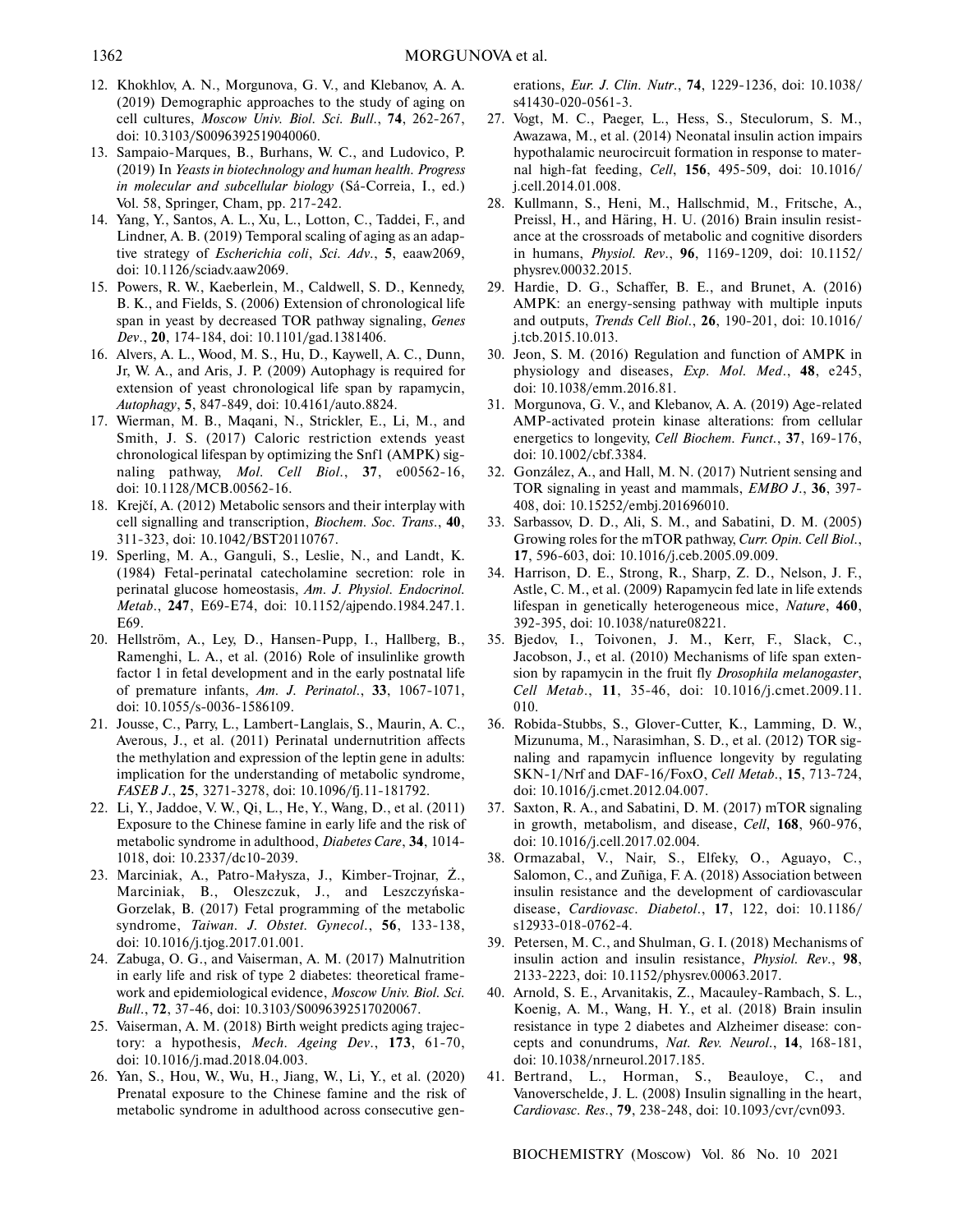- 12. Khokhlov, A. N., Morgunova, G. V., and Klebanov, A. A. (2019) Demographic approaches to the study of aging on cell cultures, *Moscow Univ. Biol. Sci. Bull*., **74**, 262-267, doi: 10.3103/S0096392519040060.
- 13. Sampaio-Marques, B., Burhans, W. C., and Ludovico, P. (2019) In *Yeasts in biotechnology and human health. Progress in molecular and subcellular biology* (Sá-Correia, I., ed.) Vol. 58, Springer, Cham, pp. 217-242.
- 14. Yang, Y., Santos, A. L., Xu, L., Lotton, C., Taddei, F., and Lindner, A. B. (2019) Temporal scaling of aging as an adap tive strategy of *Escherichia coli*, *Sci. Adv*., **5**, eaaw2069, doi: 10.1126/sciadv.aaw2069.
- 15. Powers, R. W., Kaeberlein, M., Caldwell, S. D., Kennedy, B. K., and Fields, S. (2006) Extension of chronological life span in yeast by decreased TOR pathway signaling, *Genes Dev*., **20**, 174-184, doi: 10.1101/gad.1381406.
- 16. Alvers, A. L., Wood, M. S., Hu, D., Kaywell, A. C., Dunn, Jr, W. A., and Aris, J. P. (2009) Autophagy is required for extension of yeast chronological life span by rapamycin, *Autophagy*, **5**, 847-849, doi: 10.4161/auto.8824.
- 17. Wierman, M. B., Maqani, N., Strickler, E., Li, M., and Smith, J. S. (2017) Caloric restriction extends yeast chronological lifespan by optimizing the Snf1 (AMPK) sig naling pathway, *Mol. Cell Biol*., **37**, e00562-16, doi: 10.1128/MCB.00562-16.
- 18. Krejč, A. (2012) Metabolic sensors and their interplay with cell signalling and transcription, *Biochem. Soc. Trans*., **40**, 311-323, doi: 10.1042/BST20110767.
- 19. Sperling, M. A., Ganguli, S., Leslie, N., and Landt, K. (1984) Fetal-perinatal catecholamine secretion: role in perinatal glucose homeostasis, *Am. J. Physiol. Endocrinol. Metab*., **247**, E69-E74, doi: 10.1152/ajpendo.1984.247.1. E69.
- 20. Hellström, A., Ley, D., Hansen-Pupp, I., Hallberg, B., Ramenghi, L. A., et al. (2016) Role of insulinlike growth factor 1 in fetal development and in the early postnatal life of premature infants, *Am. J. Perinatol*., **33**, 1067-1071, doi: 10.1055/s-0036-1586109.
- 21. Jousse, C., Parry, L., Lambert-Langlais, S., Maurin, A. C., Averous, J., et al. (2011) Perinatal undernutrition affects the methylation and expression of the leptin gene in adults: implication for the understanding of metabolic syndrome, *FASEB J*., **25**, 3271-3278, doi: 10.1096/fj.11-181792.
- 22. Li, Y., Jaddoe, V. W., Qi, L., He, Y., Wang, D., et al. (2011) Exposure to the Chinese famine in early life and the risk of metabolic syndrome in adulthood, *Diabetes Care*, **34**, 1014- 1018, doi: 10.2337/dc10-2039.
- 23. Marciniak, A., Patro-Małysza, J., Kimber-Trojnar, Ż., Marciniak, B., Oleszczuk, J., and Leszczyńska Gorzelak, B. (2017) Fetal programming of the metabolic syndrome, *Taiwan. J. Obstet. Gynecol*., **56**, 133-138, doi: 10.1016/j.tjog.2017.01.001.
- 24. Zabuga, O. G., and Vaiserman, A. M. (2017) Malnutrition in early life and risk of type 2 diabetes: theoretical frame work and epidemiological evidence, *Moscow Univ. Biol. Sci. Bull*., **72**, 37-46, doi: 10.3103/S0096392517020067.
- 25. Vaiserman, A. M. (2018) Birth weight predicts aging trajec tory: a hypothesis, *Mech. Ageing Dev*., **173**, 61-70, doi: 10.1016/j.mad.2018.04.003.
- 26. Yan, S., Hou, W., Wu, H., Jiang, W., Li, Y., et al. (2020) Prenatal exposure to the Chinese famine and the risk of metabolic syndrome in adulthood across consecutive gen-

erations, *Eur. J. Clin. Nutr*., **74**, 1229-1236, doi: 10.1038/ s41430-020-0561-3.

- 27. Vogt, M. C., Paeger, L., Hess, S., Steculorum, S. M., Awazawa, M., et al. (2014) Neonatal insulin action impairs hypothalamic neurocircuit formation in response to mater nal high-fat feeding, *Cell*, **156**, 495-509, doi: 10.1016/ j.cell.2014.01.008.
- 28. Kullmann, S., Heni, M., Hallschmid, M., Fritsche, A., Preissl, H., and Häring, H. U. (2016) Brain insulin resist ance at the crossroads of metabolic and cognitive disorders in humans, *Physiol. Rev*., **96**, 1169-1209, doi: 10.1152/ physrev.00032.2015.
- 29. Hardie, D. G., Schaffer, B. E., and Brunet, A. (2016) AMPK: an energy-sensing pathway with multiple inputs and outputs, *Trends Cell Biol*., **26**, 190-201, doi: 10.1016/ j.tcb.2015.10.013.
- 30. Jeon, S. M. (2016) Regulation and function of AMPK in physiology and diseases, *Exp. Mol. Med*., **48**, e245, doi: 10.1038/emm.2016.81.
- 31. Morgunova, G. V., and Klebanov, A. A. (2019) Age-related AMP-activated protein kinase alterations: from cellular energetics to longevity, *Cell Biochem. Funct*., **37**, 169-176, doi: 10.1002/cbf.3384.
- 32. González, A., and Hall, M. N. (2017) Nutrient sensing and TOR signaling in yeast and mammals, *EMBO J*., **36**, 397- 408, doi: 10.15252/embj.201696010.
- 33. Sarbassov, D. D., Ali, S. M., and Sabatini, D. M. (2005) Growing roles for the mTOR pathway, *Curr. Opin. Cell Biol*., **17**, 596-603, doi: 10.1016/j.ceb.2005.09.009.
- 34. Harrison, D. E., Strong, R., Sharp, Z. D., Nelson, J. F., Astle, C. M., et al. (2009) Rapamycin fed late in life extends lifespan in genetically heterogeneous mice, *Nature*, **460**, 392-395, doi: 10.1038/nature08221.
- 35. Bjedov, I., Toivonen, J. M., Kerr, F., Slack, C., Jacobson, J., et al. (2010) Mechanisms of life span exten sion by rapamycin in the fruit fly *Drosophila melanogaster*, *Cell Metab*., **11**, 35-46, doi: 10.1016/j.cmet.2009.11. 010.
- 36. Robida-Stubbs, S., Glover-Cutter, K., Lamming, D. W., Mizunuma, M., Narasimhan, S. D., et al. (2012) TOR sig naling and rapamycin influence longevity by regulating SKN-1/Nrf and DAF-16/FoxO, *Cell Metab*., **15**, 713-724, doi: 10.1016/j.cmet.2012.04.007.
- 37. Saxton, R. A., and Sabatini, D. M. (2017) mTOR signaling in growth, metabolism, and disease, *Cell*, **168**, 960-976, doi: 10.1016/j.cell.2017.02.004.
- 38. Ormazabal, V., Nair, S., Elfeky, O., Aguayo, C., Salomon, C., and Zuñiga, F. A. (2018) Association between insulin resistance and the development of cardiovascular disease, *Cardiovasc. Diabetol*., **17**, 122, doi: 10.1186/ s12933-018-0762-4.
- 39. Petersen, M. C., and Shulman, G. I. (2018) Mechanisms of insulin action and insulin resistance, *Physiol. Rev*., **98**, 2133-2223, doi: 10.1152/physrev.00063.2017.
- 40. Arnold, S. E., Arvanitakis, Z., Macauley-Rambach, S. L., Koenig, A. M., Wang, H. Y., et al. (2018) Brain insulin resistance in type 2 diabetes and Alzheimer disease: con cepts and conundrums, *Nat. Rev. Neurol*., **14**, 168-181, doi: 10.1038/nrneurol.2017.185.
- 41. Bertrand, L., Horman, S., Beauloye, C., and Vanoverschelde, J. L. (2008) Insulin signalling in the heart, *Cardiovasc. Res*., **79**, 238-248, doi: 10.1093/cvr/cvn093.

BIOCHEMISTRY (Moscow) Vol. 86 No. 10 2021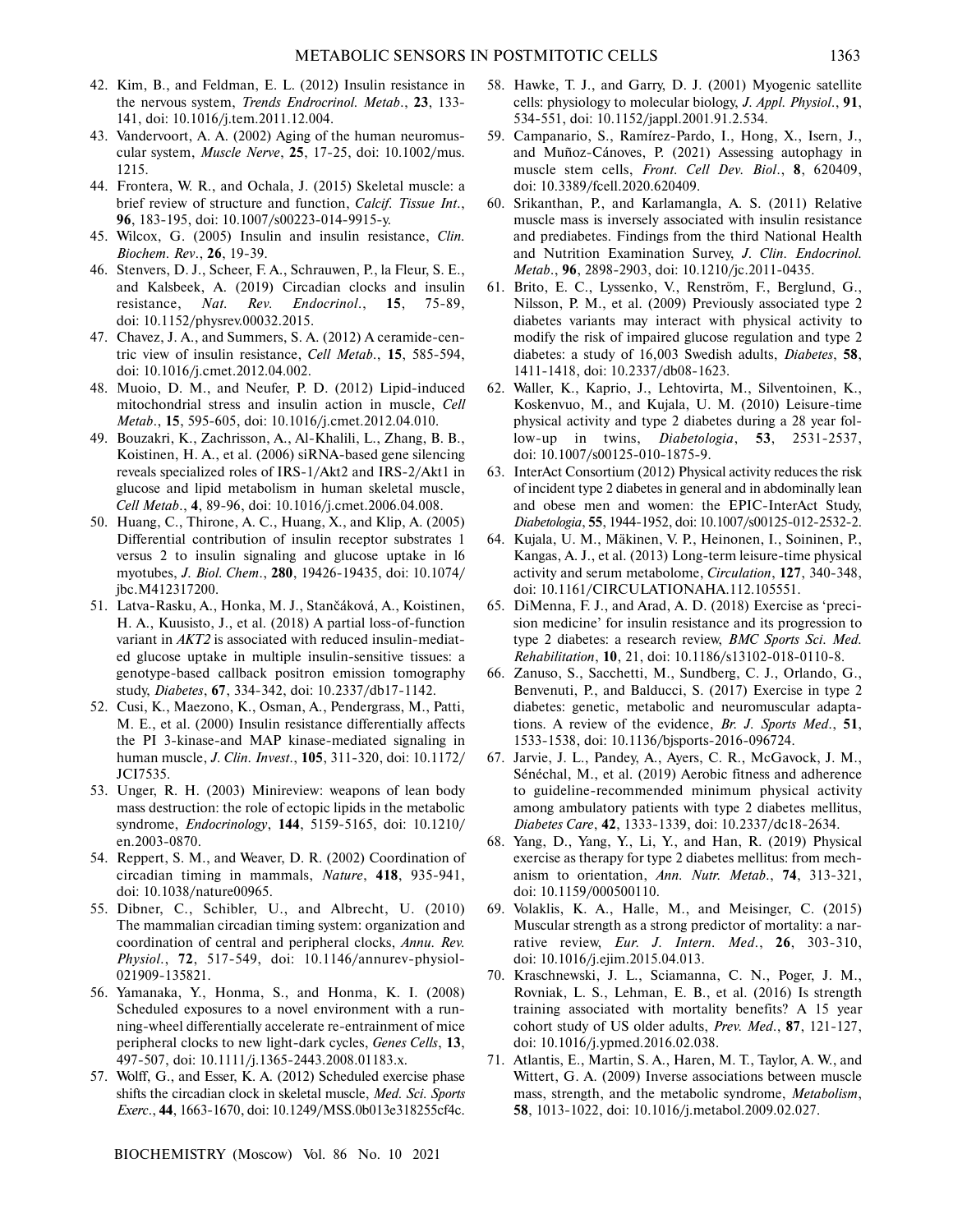- 42. Kim, B., and Feldman, E. L. (2012) Insulin resistance in the nervous system, *Trends Endrocrinol. Metab*., **23**, 133- 141, doi: 10.1016/j.tem.2011.12.004.
- 43. Vandervoort, A. A. (2002) Aging of the human neuromus cular system, *Muscle Nerve*, **25**, 17-25, doi: 10.1002/mus. 1215.
- 44. Frontera, W. R., and Ochala, J. (2015) Skeletal muscle: a brief review of structure and function, *Calcif. Tissue Int*., 96, 183-195, doi: 10.1007/s00223-014-9915-y.
- 45. Wilcox, G. (2005) Insulin and insulin resistance, *Clin. Biochem. Rev*., **26**, 19-39.
- 46. Stenvers, D. J., Scheer, F. A., Schrauwen, P., la Fleur, S. E., and Kalsbeek, A. (2019) Circadian clocks and insulin resistance, *Nat. Rev. Endocrinol*., **15**, 75-89, doi: 10.1152/physrev.00032.2015.
- 47. Chavez, J. A., and Summers, S. A. (2012) A ceramide-cen tric view of insulin resistance, *Cell Metab*., **15**, 585-594, doi: 10.1016/j.cmet.2012.04.002.
- 48. Muoio, D. M., and Neufer, P. D. (2012) Lipid-induced mitochondrial stress and insulin action in muscle, *Cell Metab*., **15**, 595-605, doi: 10.1016/j.cmet.2012.04.010.
- 49. Bouzakri, K., Zachrisson, A., Al-Khalili, L., Zhang, B. B., Koistinen, H. A., et al. (2006) siRNA-based gene silencing reveals specialized roles of IRS-1/Akt2 and IRS-2/Akt1 in glucose and lipid metabolism in human skeletal muscle, *Cell Metab*., **4**, 89-96, doi: 10.1016/j.cmet.2006.04.008.
- 50. Huang, C., Thirone, A. C., Huang, X., and Klip, A. (2005) Differential contribution of insulin receptor substrates 1 versus 2 to insulin signaling and glucose uptake in l6 myotubes, *J. Biol. Chem*., **280**, 19426-19435, doi: 10.1074/ jbc.M412317200.
- 51. Latva-Rasku, A., Honka, M. J., Stančáková, A., Koistinen, H. A., Kuusisto, J., et al. (2018) A partial loss-of-function variant in *AKT2* is associated with reduced insulin-mediat ed glucose uptake in multiple insulin-sensitive tissues: a genotype-based callback positron emission tomography study, *Diabetes*, **67**, 334-342, doi: 10.2337/db17-1142.
- 52. Cusi, K., Maezono, K., Osman, A., Pendergrass, M., Patti, M. E., et al. (2000) Insulin resistance differentially affects the PI 3-kinase-and MAP kinase-mediated signaling in human muscle, *J. Clin. Invest*., **105**, 311-320, doi: 10.1172/ JCI7535.
- 53. Unger, R. H. (2003) Minireview: weapons of lean body mass destruction: the role of ectopic lipids in the metabolic syndrome, *Endocrinology*, **144**, 5159-5165, doi: 10.1210/ en.2003-0870.
- 54. Reppert, S. M., and Weaver, D. R. (2002) Coordination of circadian timing in mammals, *Nature*, **418**, 935-941, doi: 10.1038/nature00965.
- 55. Dibner, C., Schibler, U., and Albrecht, U. (2010) The mammalian circadian timing system: organization and coordination of central and peripheral clocks, *Annu. Rev. Physiol*., **72**, 517-549, doi: 10.1146/annurev-physiol- 021909-135821.
- 56. Yamanaka, Y., Honma, S., and Honma, K. I. (2008) Scheduled exposures to a novel environment with a run ning-wheel differentially accelerate re-entrainment of mice peripheral clocks to new light-dark cycles, *Genes Cells*, **13**, 497-507, doi: 10.1111/j.1365-2443.2008.01183.x.
- 57. Wolff, G., and Esser, K. A. (2012) Scheduled exercise phase shifts the circadian clock in skeletal muscle, *Med. Sci. Sports Exerc*., **44**, 1663-1670, doi: 10.1249/MSS.0b013e318255cf4c.
- 58. Hawke, T. J., and Garry, D. J. (2001) Myogenic satellite cells: physiology to molecular biology, *J. Appl. Physiol*., **91**, 534-551, doi: 10.1152/jappl.2001.91.2.534.
- 59. Campanario, S., Ramírez-Pardo, I., Hong, X., Isern, J., and Muñoz-Cánoves, P. (2021) Assessing autophagy in muscle stem cells, *Front. Cell Dev. Biol*., **8**, 620409, doi: 10.3389/fcell.2020.620409.
- 60. Srikanthan, P., and Karlamangla, A. S. (2011) Relative muscle mass is inversely associated with insulin resistance and prediabetes. Findings from the third National Health and Nutrition Examination Survey, *J. Clin. Endocrinol. Metab*., **96**, 2898-2903, doi: 10.1210/jc.2011-0435.
- 61. Brito, E. C., Lyssenko, V., Renström, F., Berglund, G., Nilsson, P. M., et al. (2009) Previously associated type 2 diabetes variants may interact with physical activity to modify the risk of impaired glucose regulation and type 2 diabetes: a study of 16,003 Swedish adults, *Diabetes*, **58**, 1411-1418, doi: 10.2337/db08-1623.
- 62. Waller, K., Kaprio, J., Lehtovirta, M., Silventoinen, K., Koskenvuo, M., and Kujala, U. M. (2010) Leisure-time physical activity and type 2 diabetes during a 28 year fol low-up in twins, *Diabetologia*, **53**, 2531-2537, doi: 10.1007/s00125-010-1875-9.
- 63. InterAct Consortium (2012) Physical activity reduces the risk of incident type 2 diabetes in general and in abdominally lean and obese men and women: the EPIC-InterAct Study, *Diabetologia*, **55**, 1944-1952, doi: 10.1007/s00125-012-2532-2.
- 64. Kujala, U. M., Mäkinen, V. P., Heinonen, I., Soininen, P., Kangas, A. J., et al. (2013) Long-term leisure-time physical activity and serum metabolome, *Circulation*, **127**, 340-348, doi: 10.1161/CIRCULATIONAHA.112.105551.
- 65. DiMenna, F. J., and Arad, A. D. (2018) Exercise as 'preci sion medicine' for insulin resistance and its progression to type 2 diabetes: a research review, *BMC Sports Sci. Med. Rehabilitation*, **10**, 21, doi: 10.1186/s13102-018-0110-8.
- 66. Zanuso, S., Sacchetti, M., Sundberg, C. J., Orlando, G., Benvenuti, P., and Balducci, S. (2017) Exercise in type 2 diabetes: genetic, metabolic and neuromuscular adapta tions. A review of the evidence, *Br. J. Sports Med*., **51**, 1533-1538, doi: 10.1136/bjsports-2016-096724.
- 67. Jarvie, J. L., Pandey, A., Ayers, C. R., McGavock, J. M., Sénéchal, M., et al. (2019) Aerobic fitness and adherence to guideline-recommended minimum physical activity among ambulatory patients with type 2 diabetes mellitus, *Diabetes Care*, **42**, 1333-1339, doi: 10.2337/dc18-2634.
- 68. Yang, D., Yang, Y., Li, Y., and Han, R. (2019) Physical exercise as therapy for type 2 diabetes mellitus: from mech anism to orientation, *Ann. Nutr. Metab*., **74**, 313-321, doi: 10.1159/000500110.
- 69. Volaklis, K. A., Halle, M., and Meisinger, C. (2015) Muscular strength as a strong predictor of mortality: a nar rative review, *Eur. J. Intern. Med*., **26**, 303-310, doi: 10.1016/j.ejim.2015.04.013.
- 70. Kraschnewski, J. L., Sciamanna, C. N., Poger, J. M., Rovniak, L. S., Lehman, E. B., et al. (2016) Is strength training associated with mortality benefits? A 15 year cohort study of US older adults, *Prev. Med*., **87**, 121-127, doi: 10.1016/j.ypmed.2016.02.038.
- 71. Atlantis, E., Martin, S. A., Haren, M. T., Taylor, A. W., and Wittert, G. A. (2009) Inverse associations between muscle mass, strength, and the metabolic syndrome, *Metabolism*, **58**, 1013-1022, doi: 10.1016/j.metabol.2009.02.027.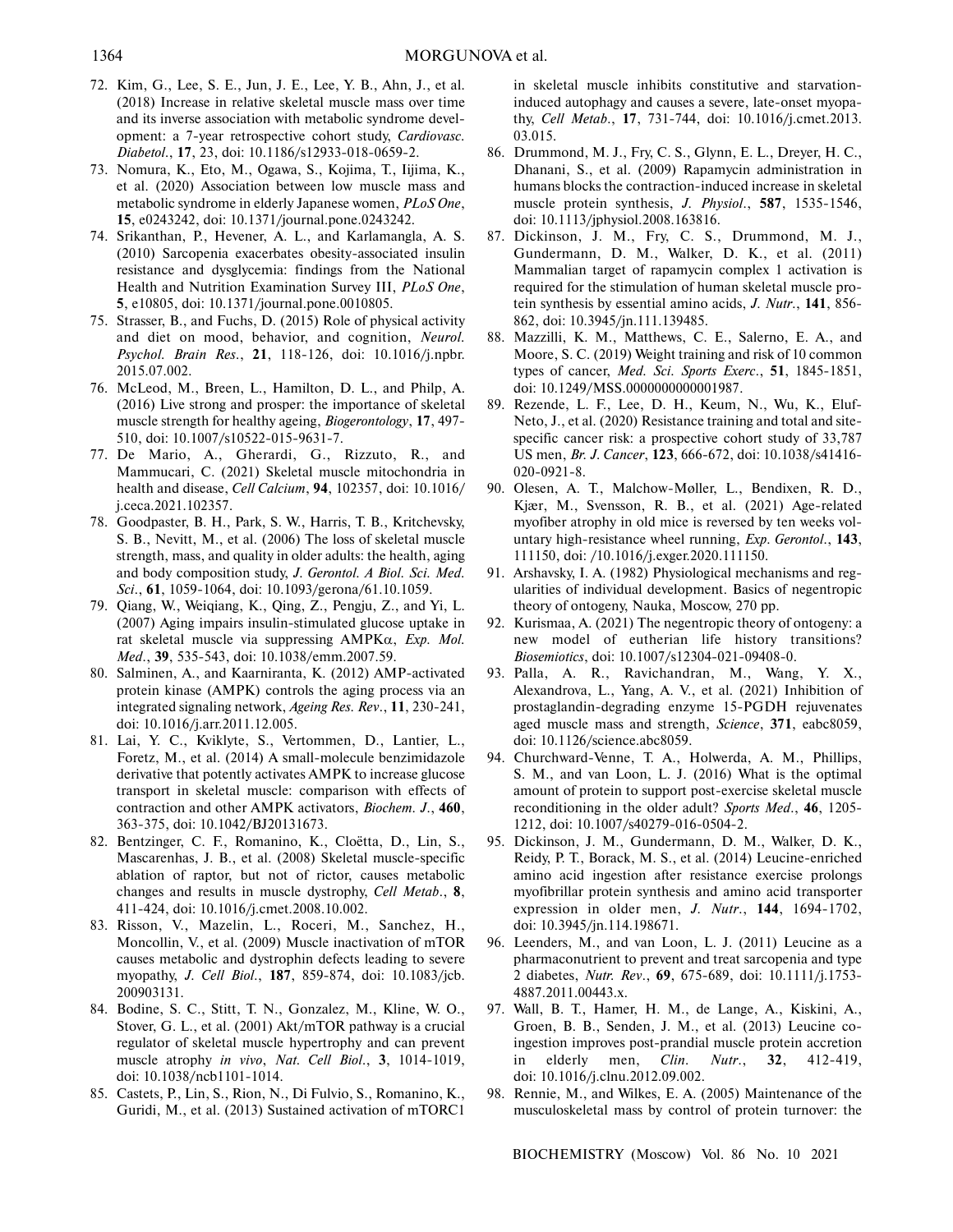- 72. Kim, G., Lee, S. E., Jun, J. E., Lee, Y. B., Ahn, J., et al. (2018) Increase in relative skeletal muscle mass over time and its inverse association with metabolic syndrome devel opment: a 7-year retrospective cohort study, *Cardiovasc. Diabetol*., **17**, 23, doi: 10.1186/s12933-018-0659-2.
- 73. Nomura, K., Eto, M., Ogawa, S., Kojima, T., Iijima, K., et al. (2020) Association between low muscle mass and metabolic syndrome in elderly Japanese women, *PLoS One*, **15**, e0243242, doi: 10.1371/journal.pone.0243242.
- 74. Srikanthan, P., Hevener, A. L., and Karlamangla, A. S. (2010) Sarcopenia exacerbates obesity-associated insulin resistance and dysglycemia: findings from the National Health and Nutrition Examination Survey III, *PLoS One*, **5**, e10805, doi: 10.1371/journal.pone.0010805.
- 75. Strasser, B., and Fuchs, D. (2015) Role of physical activity and diet on mood, behavior, and cognition, *Neurol. Psychol. Brain Res*., **21**, 118-126, doi: 10.1016/j.npbr. 2015.07.002.
- 76. McLeod, M., Breen, L., Hamilton, D. L., and Philp, A. (2016) Live strong and prosper: the importance of skeletal muscle strength for healthy ageing, *Biogerontology*, **17**, 497- 510, doi: 10.1007/s10522-015-9631-7.
- 77. De Mario, A., Gherardi, G., Rizzuto, R., and Mammucari, C. (2021) Skeletal muscle mitochondria in health and disease, *Cell Calcium*, **94**, 102357, doi: 10.1016/ j.ceca.2021.102357.
- 78. Goodpaster, B. H., Park, S. W., Harris, T. B., Kritchevsky, S. B., Nevitt, M., et al. (2006) The loss of skeletal muscle strength, mass, and quality in older adults: the health, aging and body composition study, *J. Gerontol. A Biol. Sci. Med. Sci*., **61**, 1059-1064, doi: 10.1093/gerona/61.10.1059.
- 79. Qiang, W., Weiqiang, K., Qing, Z., Pengju, Z., and Yi, L. (2007) Aging impairs insulin-stimulated glucose uptake in rat skeletal muscle via suppressing AMPKα, *Exp. Mol. Med*., **39**, 535-543, doi: 10.1038/emm.2007.59.
- 80. Salminen, A., and Kaarniranta, K. (2012) AMP-activated protein kinase (AMPK) controls the aging process via an integrated signaling network, *Ageing Res. Rev*., **11**, 230-241, doi: 10.1016/j.arr.2011.12.005.
- 81. Lai, Y. C., Kviklyte, S., Vertommen, D., Lantier, L., Foretz, M., et al. (2014) A small-molecule benzimidazole derivative that potently activates AMPK to increase glucose transport in skeletal muscle: comparison with effects of contraction and other AMPK activators, *Biochem. J*., **460**, 363-375, doi: 10.1042/BJ20131673.
- 82. Bentzinger, C. F., Romanino, K., Cloëtta, D., Lin, S., Mascarenhas, J. B., et al. (2008) Skeletal muscle-specific ablation of raptor, but not of rictor, causes metabolic changes and results in muscle dystrophy, *Cell Metab*., **8**, 411-424, doi: 10.1016/j.cmet.2008.10.002.
- 83. Risson, V., Mazelin, L., Roceri, M., Sanchez, H., Moncollin, V., et al. (2009) Muscle inactivation of mTOR causes metabolic and dystrophin defects leading to severe myopathy, *J. Cell Biol*., **187**, 859-874, doi: 10.1083/jcb. 200903131.
- 84. Bodine, S. C., Stitt, T. N., Gonzalez, M., Kline, W. O., Stover, G. L., et al. (2001) Akt/mTOR pathway is a crucial regulator of skeletal muscle hypertrophy and can prevent muscle atrophy *in vivo*, *Nat. Cell Biol*., **3**, 1014-1019, doi: 10.1038/ncb1101-1014.
- 85. Castets, P., Lin, S., Rion, N., Di Fulvio, S., Romanino, K., Guridi, M., et al. (2013) Sustained activation of mTORC1

in skeletal muscle inhibits constitutive and starvation induced autophagy and causes a severe, late-onset myopa thy, *Cell Metab*., **17**, 731-744, doi: 10.1016/j.cmet.2013. 03.015.

- 86. Drummond, M. J., Fry, C. S., Glynn, E. L., Dreyer, H. C., Dhanani, S., et al. (2009) Rapamycin administration in humans blocks the contraction-induced increase in skeletal muscle protein synthesis, *J. Physiol*., **587**, 1535-1546, doi: 10.1113/jphysiol.2008.163816.
- 87. Dickinson, J. M., Fry, C. S., Drummond, M. J., Gundermann, D. M., Walker, D. K., et al. (2011) Mammalian target of rapamycin complex 1 activation is required for the stimulation of human skeletal muscle pro tein synthesis by essential amino acids, *J. Nutr*., **141**, 856- 862, doi: 10.3945/jn.111.139485.
- 88. Mazzilli, K. M., Matthews, C. E., Salerno, E. A., and Moore, S. C. (2019) Weight training and risk of 10 common types of cancer, *Med. Sci. Sports Exerc*., **51**, 1845-1851, doi: 10.1249/MSS.0000000000001987.
- 89. Rezende, L. F., Lee, D. H., Keum, N., Wu, K., Eluf- Neto, J., et al. (2020) Resistance training and total and site specific cancer risk: a prospective cohort study of 33,787 US men, *Br. J. Cancer*, **123**, 666-672, doi: 10.1038/s41416- 020-0921-8.
- 90. Olesen, A. T., Malchow-Møller, L., Bendixen, R. D., Kjær, M., Svensson, R. B., et al. (2021) Age-related myofiber atrophy in old mice is reversed by ten weeks vol untary high-resistance wheel running, *Exp. Gerontol*., **143**, 111150, doi: /10.1016/j.exger.2020.111150.
- 91. Arshavsky, I. A. (1982) Physiological mechanisms and reg ularities of individual development. Basics of negentropic theory of ontogeny, Nauka, Moscow, 270 pp.
- 92. Kurismaa, A. (2021) The negentropic theory of ontogeny: a new model of eutherian life history transitions? *Biosemiotics*, doi: 10.1007/s12304-021-09408-0.
- 93. Palla, A. R., Ravichandran, M., Wang, Y. X., Alexandrova, L., Yang, A. V., et al. (2021) Inhibition of prostaglandin-degrading enzyme 15-PGDH rejuvenates aged muscle mass and strength, *Science*, **371**, eabc8059, doi: 10.1126/science.abc8059.
- 94. Churchward-Venne, T. A., Holwerda, A. M., Phillips, S. M., and van Loon, L. J. (2016) What is the optimal amount of protein to support post-exercise skeletal muscle reconditioning in the older adult? *Sports Med*., **46**, 1205- 1212, doi: 10.1007/s40279-016-0504-2.
- 95. Dickinson, J. M., Gundermann, D. M., Walker, D. K., Reidy, P. T., Borack, M. S., et al. (2014) Leucine-enriched amino acid ingestion after resistance exercise prolongs myofibrillar protein synthesis and amino acid transporter expression in older men, *J. Nutr*., **144**, 1694-1702, doi: 10.3945/jn.114.198671.
- 96. Leenders, M., and van Loon, L. J. (2011) Leucine as a pharmaconutrient to prevent and treat sarcopenia and type 2 diabetes, *Nutr. Rev*., **69**, 675-689, doi: 10.1111/j.1753- 4887.2011.00443.x.
- 97. Wall, B. T., Hamer, H. M., de Lange, A., Kiskini, A., Groen, B. B., Senden, J. M., et al. (2013) Leucine co ingestion improves post-prandial muscle protein accretion in elderly men, *Clin. Nutr.*, 32, 412-419, doi: 10.1016/j.clnu.2012.09.002.
- 98. Rennie, M., and Wilkes, E. A. (2005) Maintenance of the musculoskeletal mass by control of protein turnover: the

BIOCHEMISTRY (Moscow) Vol. 86 No. 10 2021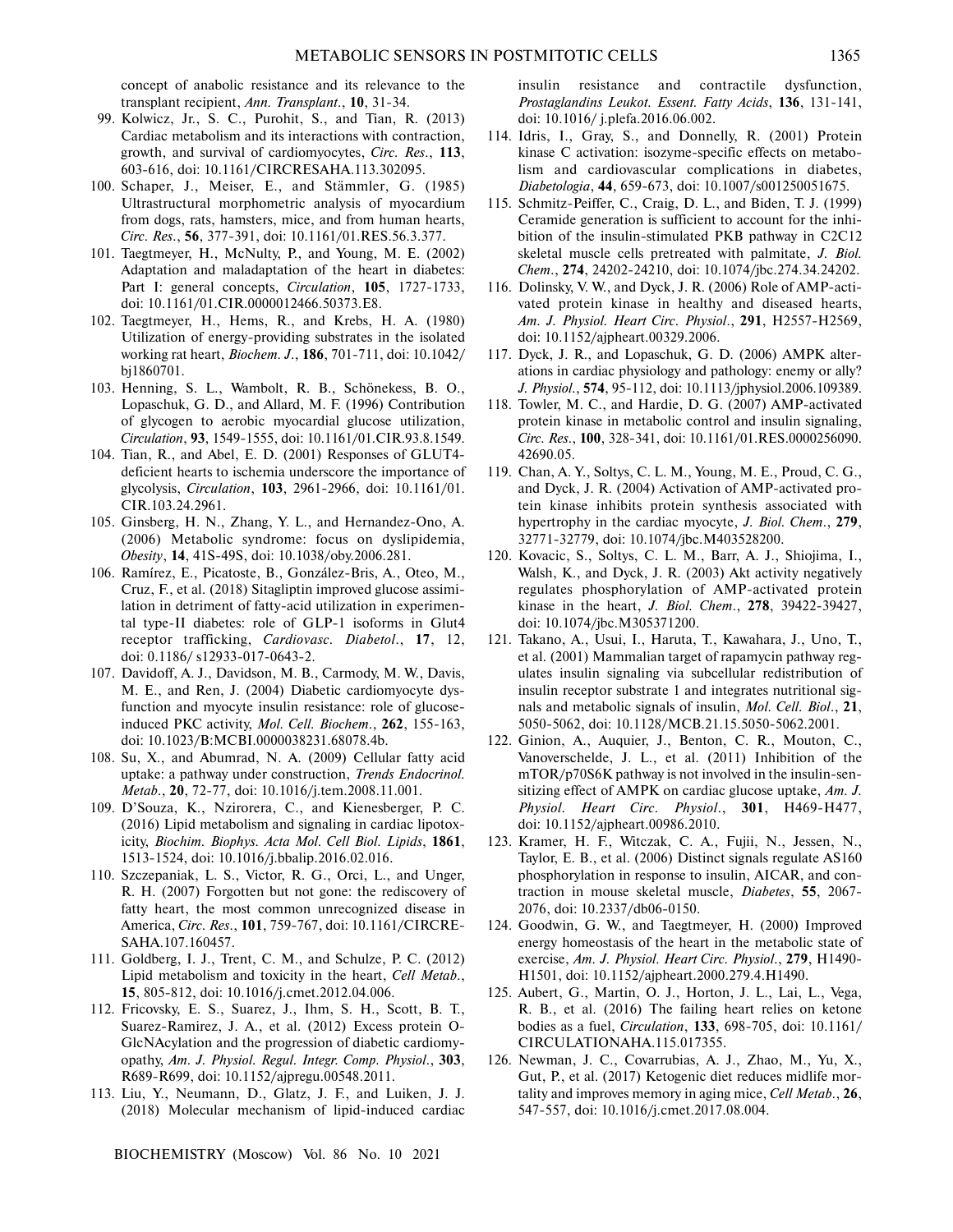concept of anabolic resistance and its relevance to the transplant recipient, *Ann. Transplant*., **10**, 31-34.

- 99. Kolwicz, Jr., S. C., Purohit, S., and Tian, R. (2013) Cardiac metabolism and its interactions with contraction, growth, and survival of cardiomyocytes, *Circ. Res*., **113**, 603-616, doi: 10.1161/CIRCRESAHA.113.302095.
- 100. Schaper, J., Meiser, E., and Stämmler, G. (1985) Ultrastructural morphometric analysis of myocardium from dogs, rats, hamsters, mice, and from human hearts, *Circ. Res*., **56**, 377-391, doi: 10.1161/01.RES.56.3.377.
- 101. Taegtmeyer, H., McNulty, P., and Young, M. E. (2002) Adaptation and maladaptation of the heart in diabetes: Part I: general concepts, *Circulation*, **105**, 1727-1733, doi: 10.1161/01.CIR.0000012466.50373.E8.
- 102. Taegtmeyer, H., Hems, R., and Krebs, H. A. (1980) Utilization of energy-providing substrates in the isolated working rat heart, *Biochem. J*., **186**, 701-711, doi: 10.1042/ bj1860701.
- 103. Henning, S. L., Wambolt, R. B., Schönekess, B. O., Lopaschuk, G. D., and Allard, M. F. (1996) Contribution of glycogen to aerobic myocardial glucose utilization, *Circulation*, **93**, 1549-1555, doi: 10.1161/01.CIR.93.8.1549.
- 104. Tian, R., and Abel, E. D. (2001) Responses of GLUT4 deficient hearts to ischemia underscore the importance of glycolysis, *Circulation*, **103**, 2961-2966, doi: 10.1161/01. CIR.103.24.2961.
- 105. Ginsberg, H. N., Zhang, Y. L., and Hernandez-Ono, A. (2006) Metabolic syndrome: focus on dyslipidemia, *Obesity*, **14**, 41S-49S, doi: 10.1038/oby.2006.281.
- 106. Ramírez, E., Picatoste, B., González-Bris, A., Oteo, M., Cruz, F., et al. (2018) Sitagliptin improved glucose assimi lation in detriment of fatty-acid utilization in experimen tal type-II diabetes: role of GLP-1 isoforms in Glut4 receptor trafficking, *Cardiovasc. Diabetol*., **17**, 12, doi: 0.1186/ s12933-017-0643-2.
- 107. Davidoff, A. J., Davidson, M. B., Carmody, M. W., Davis, M. E., and Ren, J. (2004) Diabetic cardiomyocyte dys function and myocyte insulin resistance: role of glucose induced PKC activity, *Mol. Cell. Biochem*., **262**, 155-163, doi: 10.1023/B:MCBI.0000038231.68078.4b.
- 108. Su, X., and Abumrad, N. A. (2009) Cellular fatty acid uptake: a pathway under construction, *Trends Endocrinol. Metab*., **20**, 72-77, doi: 10.1016/j.tem.2008.11.001.
- 109. D'Souza, K., Nzirorera, C., and Kienesberger, P. C. (2016) Lipid metabolism and signaling in cardiac lipotox icity, *Biochim. Biophys. Acta Mol. Cell Biol. Lipids*, **1861**, 1513-1524, doi: 10.1016/j.bbalip.2016.02.016.
- 110. Szczepaniak, L. S., Victor, R. G., Orci, L., and Unger, R. H. (2007) Forgotten but not gone: the rediscovery of fatty heart, the most common unrecognized disease in America, *Circ. Res*., **101**, 759-767, doi: 10.1161/CIRCRE- SAHA.107.160457.
- 111. Goldberg, I. J., Trent, C. M., and Schulze, P. C. (2012) Lipid metabolism and toxicity in the heart, *Cell Metab*., **15**, 805-812, doi: 10.1016/j.cmet.2012.04.006.
- 112. Fricovsky, E. S., Suarez, J., Ihm, S. H., Scott, B. T., Suarez-Ramirez, J. A., et al. (2012) Excess protein O- GlcNAcylation and the progression of diabetic cardiomy opathy, *Am. J. Physiol. Regul. Integr. Comp. Physiol*., **303**, R689-R699, doi: 10.1152/ajpregu.00548.2011.
- 113. Liu, Y., Neumann, D., Glatz, J. F., and Luiken, J. J. (2018) Molecular mechanism of lipid-induced cardiac

BIOCHEMISTRY (Moscow) Vol. 86 No. 10 2021

insulin resistance and contractile dysfunction, *Prostaglandins Leukot. Essent. Fatty Acids*, **136**, 131-141, doi: 10.1016/ j.plefa.2016.06.002.

- 114. Idris, I., Gray, S., and Donnelly, R. (2001) Protein kinase C activation: isozyme-specific effects on metabo lism and cardiovascular complications in diabetes, *Diabetologia*, **44**, 659-673, doi: 10.1007/s001250051675.
- 115. Schmitz-Peiffer, C., Craig, D. L., and Biden, T. J. (1999) Ceramide generation is sufficient to account for the inhi bition of the insulin-stimulated PKB pathway in C2C12 skeletal muscle cells pretreated with palmitate, *J. Biol. Chem*., **274**, 24202-24210, doi: 10.1074/jbc.274.34.24202.
- 116. Dolinsky, V. W., and Dyck, J. R. (2006) Role of AMP-acti vated protein kinase in healthy and diseased hearts, *Am. J. Physiol. Heart Circ. Physiol*., **291**, H2557-H2569, doi: 10.1152/ajpheart.00329.2006.
- 117. Dyck, J. R., and Lopaschuk, G. D. (2006) AMPK alter ations in cardiac physiology and pathology: enemy or ally? *J. Physiol*., **574**, 95-112, doi: 10.1113/jphysiol.2006.109389.
- 118. Towler, M. C., and Hardie, D. G. (2007) AMP-activated protein kinase in metabolic control and insulin signaling, *Circ. Res*., **100**, 328-341, doi: 10.1161/01.RES.0000256090. 42690.05.
- 119. Chan, A. Y., Soltys, C. L. M., Young, M. E., Proud, C. G., and Dyck, J. R. (2004) Activation of AMP-activated pro tein kinase inhibits protein synthesis associated with hypertrophy in the cardiac myocyte, *J. Biol. Chem*., **279**, 32771-32779, doi: 10.1074/jbc.M403528200.
- 120. Kovacic, S., Soltys, C. L. M., Barr, A. J., Shiojima, I., Walsh, K., and Dyck, J. R. (2003) Akt activity negatively regulates phosphorylation of AMP-activated protein kinase in the heart, *J. Biol. Chem*., **278**, 39422-39427, doi: 10.1074/jbc.M305371200.
- 121. Takano, A., Usui, I., Haruta, T., Kawahara, J., Uno, T., et al. (2001) Mammalian target of rapamycin pathway reg ulates insulin signaling via subcellular redistribution of insulin receptor substrate 1 and integrates nutritional sig nals and metabolic signals of insulin, *Mol. Cell. Biol*., **21**, 5050-5062, doi: 10.1128/MCB.21.15.5050-5062.2001.
- 122. Ginion, A., Auquier, J., Benton, C. R., Mouton, C., Vanoverschelde, J. L., et al. (2011) Inhibition of the mTOR/p70S6K pathway is not involved in the insulin-sen sitizing effect of AMPK on cardiac glucose uptake, *Am. J. Physiol. Heart Circ. Physiol*., **301**, H469-H477, doi: 10.1152/ajpheart.00986.2010.
- 123. Kramer, H. F., Witczak, C. A., Fujii, N., Jessen, N., Taylor, E. B., et al. (2006) Distinct signals regulate AS160 phosphorylation in response to insulin, AICAR, and con traction in mouse skeletal muscle, *Diabetes*, **55**, 2067- 2076, doi: 10.2337/db06-0150.
- 124. Goodwin, G. W., and Taegtmeyer, H. (2000) Improved energy homeostasis of the heart in the metabolic state of exercise, *Am. J. Physiol. Heart Circ. Physiol*., **279**, H1490- H1501, doi: 10.1152/ajpheart.2000.279.4.H1490.
- 125. Aubert, G., Martin, O. J., Horton, J. L., Lai, L., Vega, R. B., et al. (2016) The failing heart relies on ketone bodies as a fuel, *Circulation*, **133**, 698-705, doi: 10.1161/ CIRCULATIONAHA.115.017355.
- 126. Newman, J. C., Covarrubias, A. J., Zhao, M., Yu, X., Gut, P., et al. (2017) Ketogenic diet reduces midlife mor tality and improves memory in aging mice, *Cell Metab*., **26**, 547-557, doi: 10.1016/j.cmet.2017.08.004.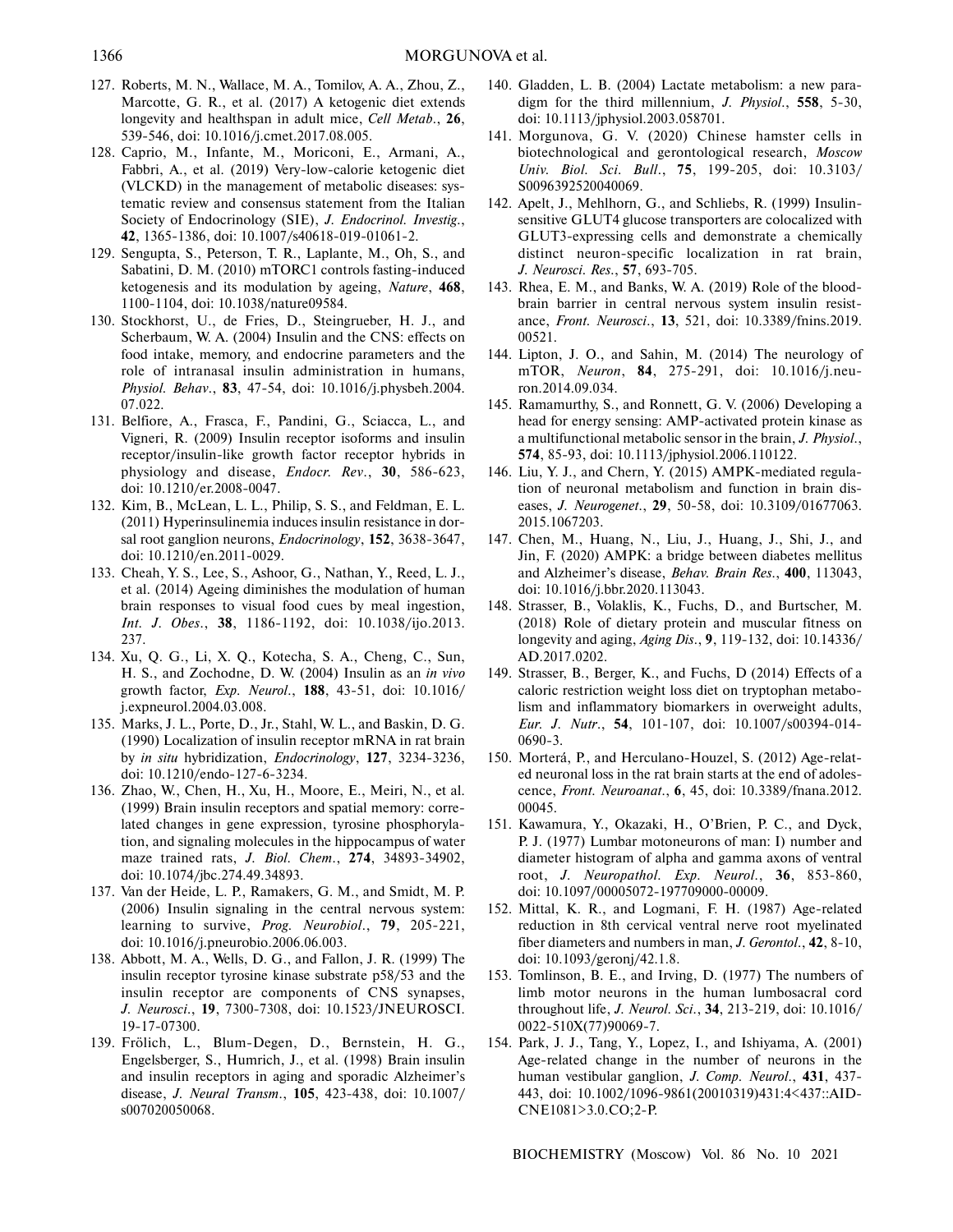- 127. Roberts, M. N., Wallace, M. A., Tomilov, A. A., Zhou, Z., Marcotte, G. R., et al. (2017) A ketogenic diet extends longevity and healthspan in adult mice, *Cell Metab*., **26**, 539-546, doi: 10.1016/j.cmet.2017.08.005.
- 128. Caprio, M., Infante, M., Moriconi, E., Armani, A., Fabbri, A., et al. (2019) Very-low-calorie ketogenic diet (VLCKD) in the management of metabolic diseases: sys tematic review and consensus statement from the Italian Society of Endocrinology (SIE), *J. Endocrinol. Investig*., **42**, 1365-1386, doi: 10.1007/s40618-019-01061-2.
- 129. Sengupta, S., Peterson, T. R., Laplante, M., Oh, S., and Sabatini, D. M. (2010) mTORC1 controls fasting-induced ketogenesis and its modulation by ageing, *Nature*, **468**, 1100-1104, doi: 10.1038/nature09584.
- 130. Stockhorst, U., de Fries, D., Steingrueber, H. J., and Scherbaum, W. A. (2004) Insulin and the CNS: effects on food intake, memory, and endocrine parameters and the role of intranasal insulin administration in humans, *Physiol. Behav*., **83**, 47-54, doi: 10.1016/j.physbeh.2004. 07.022.
- 131. Belfiore, A., Frasca, F., Pandini, G., Sciacca, L., and Vigneri, R. (2009) Insulin receptor isoforms and insulin receptor/insulin-like growth factor receptor hybrids in physiology and disease, *Endocr. Rev*., **30**, 586-623, doi: 10.1210/er.2008-0047.
- 132. Kim, B., McLean, L. L., Philip, S. S., and Feldman, E. L. (2011) Hyperinsulinemia induces insulin resistance in dor sal root ganglion neurons, *Endocrinology*, **152**, 3638-3647, doi: 10.1210/en.2011-0029.
- 133. Cheah, Y. S., Lee, S., Ashoor, G., Nathan, Y., Reed, L. J., et al. (2014) Ageing diminishes the modulation of human brain responses to visual food cues by meal ingestion, *Int. J. Obes*., **38**, 1186-1192, doi: 10.1038/ijo.2013. 237.
- 134. Xu, Q. G., Li, X. Q., Kotecha, S. A., Cheng, C., Sun, H. S., and Zochodne, D. W. (2004) Insulin as an *in vivo* growth factor, *Exp. Neurol*., **188**, 43-51, doi: 10.1016/ j.expneurol.2004.03.008.
- 135. Marks, J. L., Porte, D., Jr., Stahl, W. L., and Baskin, D. G. (1990) Localization of insulin receptor mRNA in rat brain by *in situ* hybridization, *Endocrinology*, **127**, 3234-3236, doi: 10.1210/endo-127-6-3234.
- 136. Zhao, W., Chen, H., Xu, H., Moore, E., Meiri, N., et al. (1999) Brain insulin receptors and spatial memory: corre lated changes in gene expression, tyrosine phosphoryla tion, and signaling molecules in the hippocampus of water maze trained rats, *J. Biol. Chem*., **274**, 34893-34902, doi: 10.1074/jbc.274.49.34893.
- 137. Van der Heide, L. P., Ramakers, G. M., and Smidt, M. P. (2006) Insulin signaling in the central nervous system: learning to survive, *Prog. Neurobiol*., **79**, 205-221, doi: 10.1016/j.pneurobio.2006.06.003.
- 138. Abbott, M. A., Wells, D. G., and Fallon, J. R. (1999) The insulin receptor tyrosine kinase substrate p58/53 and the insulin receptor are components of CNS synapses, *J. Neurosci*., **19**, 7300-7308, doi: 10.1523/JNEUROSCI. 19-17-07300.
- 139. Frölich, L., Blum-Degen, D., Bernstein, H. G., Engelsberger, S., Humrich, J., et al. (1998) Brain insulin and insulin receptors in aging and sporadic Alzheimer's disease, *J. Neural Transm*., **105**, 423-438, doi: 10.1007/ s007020050068.
- 140. Gladden, L. B. (2004) Lactate metabolism: a new para digm for the third millennium, *J. Physiol*., **558**, 5-30, doi: 10.1113/jphysiol.2003.058701.
- 141. Morgunova, G. V. (2020) Chinese hamster cells in biotechnological and gerontological research, *Moscow Univ. Biol. Sci. Bull*., **75**, 199-205, doi: 10.3103/ S0096392520040069.
- 142. Apelt, J., Mehlhorn, G., and Schliebs, R. (1999) Insulin sensitive GLUT4 glucose transporters are colocalized with GLUT3-expressing cells and demonstrate a chemically distinct neuron-specific localization in rat brain, *J. Neurosci. Res*., **57**, 693-705.
- 143. Rhea, E. M., and Banks, W. A. (2019) Role of the blood brain barrier in central nervous system insulin resist ance, *Front. Neurosci*., **13**, 521, doi: 10.3389/fnins.2019. 00521.
- 144. Lipton, J. O., and Sahin, M. (2014) The neurology of mTOR, *Neuron*, **84**, 275-291, doi: 10.1016/j.neu ron.2014.09.034.
- 145. Ramamurthy, S., and Ronnett, G. V. (2006) Developing a head for energy sensing: AMP-activated protein kinase as a multifunctional metabolic sensor in the brain, *J. Physiol*., **574**, 85-93, doi: 10.1113/jphysiol.2006.110122.
- 146. Liu, Y. J., and Chern, Y. (2015) AMPK-mediated regula tion of neuronal metabolism and function in brain dis eases, *J. Neurogenet*., **29**, 50-58, doi: 10.3109/01677063. 2015.1067203.
- 147. Chen, M., Huang, N., Liu, J., Huang, J., Shi, J., and Jin, F. (2020) AMPK: a bridge between diabetes mellitus and Alzheimer's disease, *Behav. Brain Res*., **400**, 113043, doi: 10.1016/j.bbr.2020.113043.
- 148. Strasser, B., Volaklis, K., Fuchs, D., and Burtscher, M. (2018) Role of dietary protein and muscular fitness on longevity and aging, *Aging Dis*., **9**, 119-132, doi: 10.14336/ AD.2017.0202.
- 149. Strasser, B., Berger, K., and Fuchs, D (2014) Effects of a caloric restriction weight loss diet on tryptophan metabo lism and inflammatory biomarkers in overweight adults, *Eur. J. Nutr*., **54**, 101-107, doi: 10.1007/s00394-014- 0690-3.
- 150. Morterá, P., and Herculano-Houzel, S. (2012) Age-relat ed neuronal loss in the rat brain starts at the end of adoles cence, *Front. Neuroanat*., **6**, 45, doi: 10.3389/fnana.2012. 00045.
- 151. Kawamura, Y., Okazaki, H., O'Brien, P. C., and Dyck, P. J. (1977) Lumbar motoneurons of man: I) number and diameter histogram of alpha and gamma axons of ventral root, *J. Neuropathol. Exp. Neurol*., **36**, 853-860, doi: 10.1097/00005072-197709000-00009.
- 152. Mittal, K. R., and Logmani, F. H. (1987) Age-related reduction in 8th cervical ventral nerve root myelinated fiber diameters and numbers in man, *J. Gerontol*., **42**, 8-10, doi: 10.1093/geronj/42.1.8.
- 153. Tomlinson, B. E., and Irving, D. (1977) The numbers of limb motor neurons in the human lumbosacral cord throughout life, *J. Neurol. Sci*., **34**, 213-219, doi: 10.1016/ 0022-510X(77)90069-7.
- 154. Park, J. J., Tang, Y., Lopez, I., and Ishiyama, A. (2001) Age-related change in the number of neurons in the human vestibular ganglion, *J. Comp. Neurol*., **431**, 437- 443, doi: 10.1002/1096-9861(20010319)431:4<437::AID- CNE1081>3.0.CO;2-P.

BIOCHEMISTRY (Moscow) Vol. 86 No. 10 2021